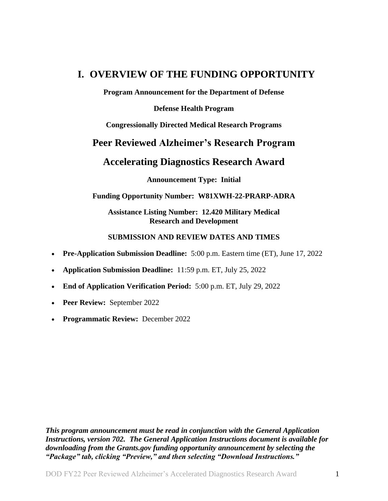## <span id="page-0-0"></span>**I. OVERVIEW OF THE FUNDING OPPORTUNITY**

**Program Announcement for the Department of Defense**

#### **Defense Health Program**

**Congressionally Directed Medical Research Programs**

## **Peer Reviewed Alzheimer's Research Program**

## **Accelerating Diagnostics Research Award**

**Announcement Type: Initial**

#### **Funding Opportunity Number: W81XWH-22-PRARP-ADRA**

**Assistance Listing Number: 12.420 Military Medical Research and Development**

#### **SUBMISSION AND REVIEW DATES AND TIMES**

- <span id="page-0-1"></span>**Pre-Application Submission Deadline:** 5:00 p.m. Eastern time (ET), June 17, 2022
- **Application Submission Deadline:** 11:59 p.m. ET, July 25, 2022
- **End of Application Verification Period:** 5:00 p.m. ET, July 29, 2022
- **Peer Review:** September 2022
- **Programmatic Review:** December 2022

*This program announcement must be read in conjunction with the General Application Instructions, version 702.**The General Application Instructions document is available for downloading from the Grants.gov funding opportunity announcement by selecting the "Package" tab, clicking "Preview," and then selecting "Download Instructions."*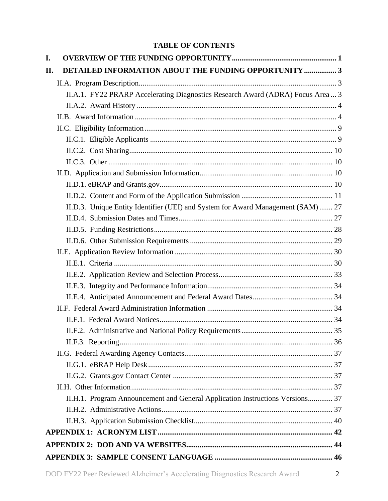## **TABLE OF CONTENTS**

| I.                                                                               |  |
|----------------------------------------------------------------------------------|--|
| DETAILED INFORMATION ABOUT THE FUNDING OPPORTUNITY  3<br>II.                     |  |
|                                                                                  |  |
| II.A.1. FY22 PRARP Accelerating Diagnostics Research Award (ADRA) Focus Area  3  |  |
|                                                                                  |  |
|                                                                                  |  |
|                                                                                  |  |
|                                                                                  |  |
|                                                                                  |  |
|                                                                                  |  |
|                                                                                  |  |
|                                                                                  |  |
|                                                                                  |  |
| II.D.3. Unique Entity Identifier (UEI) and System for Award Management (SAM)  27 |  |
|                                                                                  |  |
|                                                                                  |  |
|                                                                                  |  |
|                                                                                  |  |
|                                                                                  |  |
|                                                                                  |  |
|                                                                                  |  |
|                                                                                  |  |
|                                                                                  |  |
|                                                                                  |  |
|                                                                                  |  |
|                                                                                  |  |
|                                                                                  |  |
|                                                                                  |  |
|                                                                                  |  |
|                                                                                  |  |
| II.H.1. Program Announcement and General Application Instructions Versions 37    |  |
|                                                                                  |  |
|                                                                                  |  |
|                                                                                  |  |
|                                                                                  |  |
|                                                                                  |  |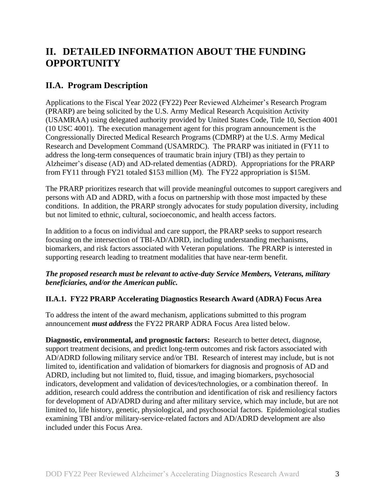# <span id="page-2-0"></span>**II. DETAILED INFORMATION ABOUT THE FUNDING OPPORTUNITY**

## <span id="page-2-1"></span>**II.A. Program Description**

Applications to the Fiscal Year 2022 (FY22) Peer Reviewed Alzheimer's Research Program (PRARP) are being solicited by the U.S. Army Medical Research Acquisition Activity (USAMRAA) using delegated authority provided by United States Code, Title 10, Section 4001 (10 USC 4001). The execution management agent for this program announcement is the Congressionally Directed Medical Research Programs (CDMRP) at the U.S. Army Medical Research and Development Command (USAMRDC). The PRARP was initiated in (FY11 to address the long-term consequences of traumatic brain injury (TBI) as they pertain to Alzheimer's disease (AD) and AD-related dementias (ADRD). Appropriations for the PRARP from FY11 through FY21 totaled \$153 million (M). The FY22 appropriation is \$15M.

The PRARP prioritizes research that will provide meaningful outcomes to support caregivers and persons with AD and ADRD, with a focus on partnership with those most impacted by these conditions. In addition, the PRARP strongly advocates for study population diversity, including but not limited to ethnic, cultural, socioeconomic, and health access factors.

In addition to a focus on individual and care support, the PRARP seeks to support research focusing on the intersection of TBI-AD/ADRD, including understanding mechanisms, biomarkers, and risk factors associated with Veteran populations. The PRARP is interested in supporting research leading to treatment modalities that have near-term benefit.

#### *The proposed research must be relevant to active-duty Service Members, Veterans, military beneficiaries, and/or the American public.*

#### <span id="page-2-2"></span>**II.A.1. FY22 PRARP Accelerating Diagnostics Research Award (ADRA) Focus Area**

To address the intent of the award mechanism, applications submitted to this program announcement *must address* the FY22 PRARP ADRA Focus Area listed below.

**Diagnostic, environmental, and prognostic factors:** Research to better detect, diagnose, support treatment decisions, and predict long-term outcomes and risk factors associated with AD/ADRD following military service and/or TBI. Research of interest may include, but is not limited to, identification and validation of biomarkers for diagnosis and prognosis of AD and ADRD, including but not limited to, fluid, tissue, and imaging biomarkers, psychosocial indicators, development and validation of devices/technologies, or a combination thereof. In addition, research could address the contribution and identification of risk and resiliency factors for development of AD/ADRD during and after military service, which may include, but are not limited to, life history, genetic, physiological, and psychosocial factors. Epidemiological studies examining TBI and/or military-service-related factors and AD/ADRD development are also included under this Focus Area.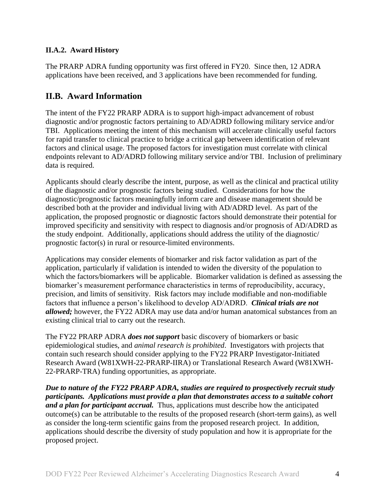## <span id="page-3-0"></span>**II.A.2. Award History**

The PRARP ADRA funding opportunity was first offered in FY20. Since then, 12 ADRA applications have been received, and 3 applications have been recommended for funding.

## <span id="page-3-1"></span>**II.B. Award Information**

The intent of the FY22 PRARP ADRA is to support high-impact advancement of robust diagnostic and/or prognostic factors pertaining to AD/ADRD following military service and/or TBI. Applications meeting the intent of this mechanism will accelerate clinically useful factors for rapid transfer to clinical practice to bridge a critical gap between identification of relevant factors and clinical usage. The proposed factors for investigation must correlate with clinical endpoints relevant to AD/ADRD following military service and/or TBI. Inclusion of preliminary data is required.

Applicants should clearly describe the intent, purpose, as well as the clinical and practical utility of the diagnostic and/or prognostic factors being studied. Considerations for how the diagnostic/prognostic factors meaningfully inform care and disease management should be described both at the provider and individual living with AD/ADRD level. As part of the application, the proposed prognostic or diagnostic factors should demonstrate their potential for improved specificity and sensitivity with respect to diagnosis and/or prognosis of AD/ADRD as the study endpoint. Additionally, applications should address the utility of the diagnostic/ prognostic factor(s) in rural or resource-limited environments.

Applications may consider elements of biomarker and risk factor validation as part of the application, particularly if validation is intended to widen the diversity of the population to which the factors/biomarkers will be applicable. Biomarker validation is defined as assessing the biomarker's measurement performance characteristics in terms of reproducibility, accuracy, precision, and limits of sensitivity. Risk factors may include modifiable and non-modifiable factors that influence a person's likelihood to develop AD/ADRD. *Clinical trials are not allowed;* however, the FY22 ADRA may use data and/or human anatomical substances from an existing clinical trial to carry out the research.

The FY22 PRARP ADRA *does not support* basic discovery of biomarkers or basic epidemiological studies, and *animal research is prohibited*. Investigators with projects that contain such research should consider applying to the FY22 PRARP Investigator-Initiated Research Award (W81XWH-22-PRARP-IIRA) or Translational Research Award (W81XWH-22-PRARP-TRA) funding opportunities, as appropriate.

*Due to nature of the FY22 PRARP ADRA, studies are required to prospectively recruit study participants. Applications must provide a plan that demonstrates access to a suitable cohort and a plan for participant accrual.* Thus, applications must describe how the anticipated outcome(s) can be attributable to the results of the proposed research (short-term gains), as well as consider the long-term scientific gains from the proposed research project. In addition, applications should describe the diversity of study population and how it is appropriate for the proposed project.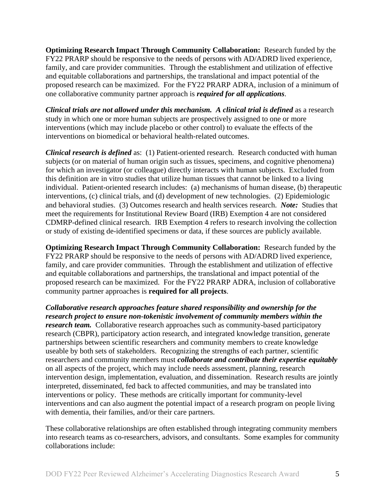**Optimizing Research Impact Through Community Collaboration:** Research funded by the FY22 PRARP should be responsive to the needs of persons with AD/ADRD lived experience, family, and care provider communities. Through the establishment and utilization of effective and equitable collaborations and partnerships, the translational and impact potential of the proposed research can be maximized. For the FY22 PRARP ADRA, inclusion of a minimum of one collaborative community partner approach is *required for all applications*.

*Clinical trials are not allowed under this mechanism. A clinical trial is defined* as a research study in which one or more human subjects are prospectively assigned to one or more interventions (which may include placebo or other control) to evaluate the effects of the interventions on biomedical or behavioral health-related outcomes.

*Clinical research is defined* as: (1) Patient-oriented research. Research conducted with human subjects (or on material of human origin such as tissues, specimens, and cognitive phenomena) for which an investigator (or colleague) directly interacts with human subjects. Excluded from this definition are in vitro studies that utilize human tissues that cannot be linked to a living individual. Patient-oriented research includes: (a) mechanisms of human disease, (b) therapeutic interventions, (c) clinical trials, and (d) development of new technologies. (2) Epidemiologic and behavioral studies. (3) Outcomes research and health services research. *Note:* Studies that meet the requirements for Institutional Review Board (IRB) Exemption 4 are not considered CDMRP-defined clinical research. IRB Exemption 4 refers to research involving the collection or study of existing de-identified specimens or data, if these sources are publicly available.

**Optimizing Research Impact Through Community Collaboration:** Research funded by the FY22 PRARP should be responsive to the needs of persons with AD/ADRD lived experience, family, and care provider communities. Through the establishment and utilization of effective and equitable collaborations and partnerships, the translational and impact potential of the proposed research can be maximized. For the FY22 PRARP ADRA, inclusion of collaborative community partner approaches is **required for all projects**.

*Collaborative research approaches feature shared responsibility and ownership for the research project to ensure non-tokenistic involvement of community members within the research team.* Collaborative research approaches such as community-based participatory research (CBPR), participatory action research, and integrated knowledge transition, generate partnerships between scientific researchers and community members to create knowledge useable by both sets of stakeholders. Recognizing the strengths of each partner, scientific researchers and community members must *collaborate and contribute their expertise equitably* on all aspects of the project, which may include needs assessment, planning, research intervention design, implementation, evaluation, and dissemination. Research results are jointly interpreted, disseminated, fed back to affected communities, and may be translated into interventions or policy. These methods are critically important for community-level interventions and can also augment the potential impact of a research program on people living with dementia, their families, and/or their care partners.

These collaborative relationships are often established through integrating community members into research teams as co-researchers, advisors, and consultants. Some examples for community collaborations include: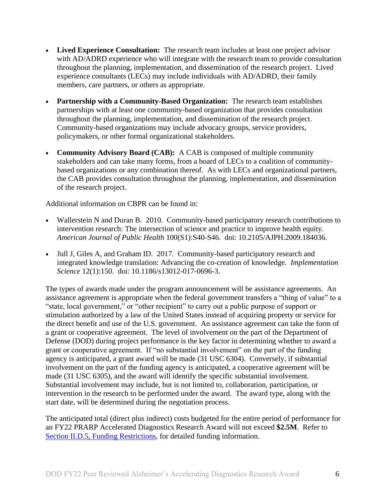- **Lived Experience Consultation:** The research team includes at least one project advisor with AD/ADRD experience who will integrate with the research team to provide consultation throughout the planning, implementation, and dissemination of the research project. Lived experience consultants (LECs) may include individuals with AD/ADRD, their family members, care partners, or others as appropriate.
- **Partnership with a Community-Based Organization:** The research team establishes partnerships with at least one community-based organization that provides consultation throughout the planning, implementation, and dissemination of the research project. Community-based organizations may include advocacy groups, service providers, policymakers, or other formal organizational stakeholders.
- **Community Advisory Board (CAB):** A CAB is composed of multiple community stakeholders and can take many forms, from a board of LECs to a coalition of communitybased organizations or any combination thereof. As with LECs and organizational partners, the CAB provides consultation throughout the planning, implementation, and dissemination of the research project.

Additional information on CBPR can be found in:

- Wallerstein N and Duran B. 2010. Community-based participatory research contributions to intervention research: The intersection of science and practice to improve health equity. *American Journal of Public Health* 100(S1):S40-S46. doi: 10.2105/AJPH.2009.184036.
- Jull J, Giles A, and Graham ID. 2017. Community-based participatory research and integrated knowledge translation: Advancing the co-creation of knowledge. *Implementation Science* 12(1):150. doi: 10.1186/s13012-017-0696-3.

The types of awards made under the program announcement will be assistance agreements. An assistance agreement is appropriate when the federal government transfers a "thing of value" to a "state, local government," or "other recipient" to carry out a public purpose of support or stimulation authorized by a law of the United States instead of acquiring property or service for the direct benefit and use of the U.S. government. An assistance agreement can take the form of a grant or cooperative agreement. The level of involvement on the part of the Department of Defense (DOD) during project performance is the key factor in determining whether to award a grant or cooperative agreement. If "no substantial involvement" on the part of the funding agency is anticipated, a grant award will be made (31 USC 6304). Conversely, if substantial involvement on the part of the funding agency is anticipated, a cooperative agreement will be made (31 USC 6305), and the award will identify the specific substantial involvement. Substantial involvement may include, but is not limited to, collaboration, participation, or intervention in the research to be performed under the award. The award type, along with the start date, will be determined during the negotiation process.

The anticipated total (direct plus indirect) costs budgeted for the entire period of performance for an FY22 PRARP Accelerated Diagnostics Research Award will not exceed **\$2.5M**. Refer to Section [II.D.5, Funding Restrictions,](#page-27-0) for detailed funding information.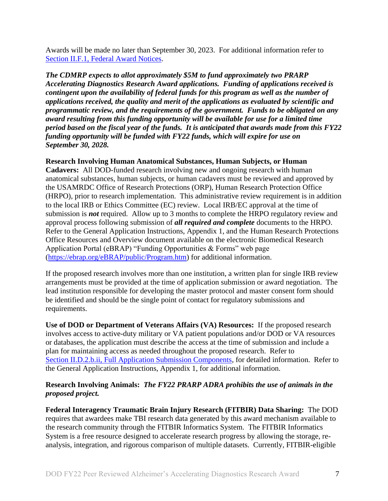Awards will be made no later than September 30, 2023. For additional information refer to [Section II.F.1, Federal Award Notices.](#page-33-3)

*The CDMRP expects to allot approximately \$5M to fund approximately two PRARP Accelerating Diagnostics Research Award applications. Funding of applications received is contingent upon the availability of federal funds for this program as well as the number of applications received, the quality and merit of the applications as evaluated by scientific and programmatic review, and the requirements of the government. Funds to be obligated on any award resulting from this funding opportunity will be available for use for a limited time period based on the fiscal year of the funds. It is anticipated that awards made from this FY22 funding opportunity will be funded with FY22 funds, which will expire for use on September 30, 2028.*

#### **Research Involving Human Anatomical Substances, Human Subjects, or Human**

**Cadavers:** All DOD-funded research involving new and ongoing research with human anatomical substances, human subjects, or human cadavers must be reviewed and approved by the USAMRDC Office of Research Protections (ORP), Human Research Protection Office (HRPO), prior to research implementation. This administrative review requirement is in addition to the local IRB or Ethics Committee (EC) review. Local IRB/EC approval at the time of submission is *not* required. Allow up to 3 months to complete the HRPO regulatory review and approval process following submission of *all required and complete* documents to the HRPO. Refer to the General Application Instructions, Appendix 1, and the Human Research Protections Office Resources and Overview document available on the electronic Biomedical Research Application Portal (eBRAP) "Funding Opportunities & Forms" web page [\(https://ebrap.org/eBRAP/public/Program.htm\)](https://ebrap.org/eBRAP/public/Program.htm) for additional information.

If the proposed research involves more than one institution, a written plan for single IRB review arrangements must be provided at the time of application submission or award negotiation. The lead institution responsible for developing the master protocol and master consent form should be identified and should be the single point of contact for regulatory submissions and requirements.

**Use of DOD or Department of Veterans Affairs (VA) Resources:** If the proposed research involves access to active-duty military or VA patient populations and/or DOD or VA resources or databases, the application must describe the access at the time of submission and include a plan for maintaining access as needed throughout the proposed research. Refer to Section [II.D.2.b.ii, Full Application Submission Components,](#page-14-0) for detailed information. Refer to the General Application Instructions, Appendix 1, for additional information.

#### **Research Involving Animals:** *The FY22 PRARP ADRA prohibits the use of animals in the proposed project.*

**Federal Interagency Traumatic Brain Injury Research (FITBIR) Data Sharing:** The DOD requires that awardees make TBI research data generated by this award mechanism available to the research community through the FITBIR Informatics System. The FITBIR Informatics System is a free resource designed to accelerate research progress by allowing the storage, reanalysis, integration, and rigorous comparison of multiple datasets. Currently, FITBIR-eligible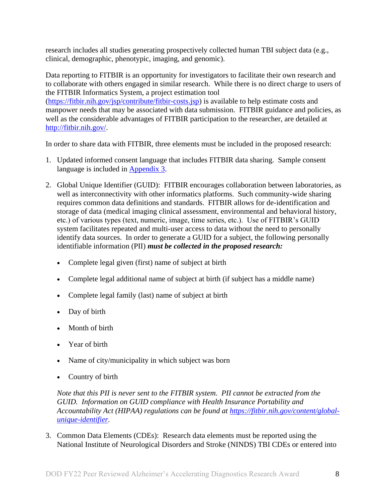research includes all studies generating prospectively collected human TBI subject data (e.g., clinical, demographic, phenotypic, imaging, and genomic).

Data reporting to FITBIR is an opportunity for investigators to facilitate their own research and to collaborate with others engaged in similar research. While there is no direct charge to users of the FITBIR Informatics System, a project estimation tool [\(https://fitbir.nih.gov/jsp/contribute/fitbir-costs.jsp\)](https://fitbir.nih.gov/jsp/contribute/fitbir-costs.jsp) is available to help estimate costs and manpower needs that may be associated with data submission. FITBIR guidance and policies, as well as the considerable advantages of FITBIR participation to the researcher, are detailed at [http://fitbir.nih.gov/.](http://fitbir.nih.gov/)

In order to share data with FITBIR, three elements must be included in the proposed research:

- 1. Updated informed consent language that includes FITBIR data sharing. Sample consent language is included in [Appendix 3.](#page-45-0)
- 2. Global Unique Identifier (GUID): FITBIR encourages collaboration between laboratories, as well as interconnectivity with other informatics platforms. Such community-wide sharing requires common data definitions and standards. FITBIR allows for de-identification and storage of data (medical imaging clinical assessment, environmental and behavioral history, etc.) of various types (text, numeric, image, time series, etc.). Use of FITBIR's GUID system facilitates repeated and multi-user access to data without the need to personally identify data sources. In order to generate a GUID for a subject, the following personally identifiable information (PII) *must be collected in the proposed research:*
	- Complete legal given (first) name of subject at birth
	- Complete legal additional name of subject at birth (if subject has a middle name)
	- Complete legal family (last) name of subject at birth
	- Day of birth
	- Month of birth
	- Year of birth
	- Name of city/municipality in which subject was born
	- Country of birth

*Note that this PII is never sent to the FITBIR system. PII cannot be extracted from the GUID. Information on GUID compliance with Health Insurance Portability and Accountability Act (HIPAA) regulations can be found at [https://fitbir.nih.gov/content/global](https://fitbir.nih.gov/content/global-unique-identifier)[unique-identifier.](https://fitbir.nih.gov/content/global-unique-identifier)*

3. Common Data Elements (CDEs): Research data elements must be reported using the National Institute of Neurological Disorders and Stroke (NINDS) TBI CDEs or entered into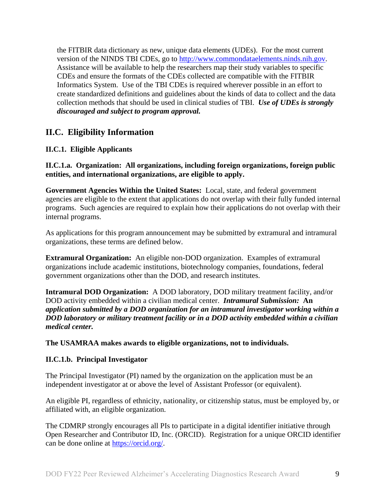the FITBIR data dictionary as new, unique data elements (UDEs). For the most current version of the NINDS TBI CDEs, go to [http://www.commondataelements.ninds.nih.gov.](http://www.commondataelements.ninds.nih.gov/) Assistance will be available to help the researchers map their study variables to specific CDEs and ensure the formats of the CDEs collected are compatible with the FITBIR Informatics System. Use of the TBI CDEs is required wherever possible in an effort to create standardized definitions and guidelines about the kinds of data to collect and the data collection methods that should be used in clinical studies of TBI. *Use of UDEs is strongly discouraged and subject to program approval.*

## <span id="page-8-0"></span>**II.C. Eligibility Information**

## <span id="page-8-1"></span>**II.C.1. Eligible Applicants**

**II.C.1.a. Organization: All organizations, including foreign organizations, foreign public entities, and international organizations, are eligible to apply.** 

**Government Agencies Within the United States:** Local, state, and federal government agencies are eligible to the extent that applications do not overlap with their fully funded internal programs. Such agencies are required to explain how their applications do not overlap with their internal programs.

As applications for this program announcement may be submitted by extramural and intramural organizations, these terms are defined below.

**Extramural Organization:** An eligible non-DOD organization. Examples of extramural organizations include academic institutions, biotechnology companies, foundations, federal government organizations other than the DOD, and research institutes.

**Intramural DOD Organization:** A DOD laboratory, DOD military treatment facility, and/or DOD activity embedded within a civilian medical center. *Intramural Submission:* **An**  *application submitted by a DOD organization for an intramural investigator working within a DOD laboratory or military treatment facility or in a DOD activity embedded within a civilian medical center.*

**The USAMRAA makes awards to eligible organizations, not to individuals.**

#### **II.C.1.b. Principal Investigator**

The Principal Investigator (PI) named by the organization on the application must be an independent investigator at or above the level of Assistant Professor (or equivalent).

An eligible PI, regardless of ethnicity, nationality, or citizenship status, must be employed by, or affiliated with, an eligible organization.

The CDMRP strongly encourages all PIs to participate in a digital identifier initiative through Open Researcher and Contributor ID, Inc. (ORCID). Registration for a unique ORCID identifier can be done online at [https://orcid.org/.](https://orcid.org/)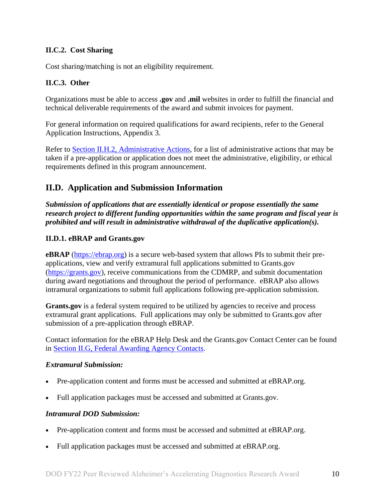## <span id="page-9-0"></span>**II.C.2. Cost Sharing**

Cost sharing/matching is not an eligibility requirement.

## <span id="page-9-1"></span>**II.C.3. Other**

Organizations must be able to access **.gov** and **.mil** websites in order to fulfill the financial and technical deliverable requirements of the award and submit invoices for payment.

For general information on required qualifications for award recipients, refer to the General Application Instructions, Appendix 3.

Refer to [Section II.H.2, Administrative Actions,](#page-36-5) for a list of administrative actions that may be taken if a pre-application or application does not meet the administrative, eligibility, or ethical requirements defined in this program announcement.

## <span id="page-9-2"></span>**II.D. Application and Submission Information**

*Submission of applications that are essentially identical or propose essentially the same research project to different funding opportunities within the same program and fiscal year is prohibited and will result in administrative withdrawal of the duplicative application(s).*

## <span id="page-9-3"></span>**II.D.1. eBRAP and Grants.gov**

**eBRAP** [\(https://ebrap.org\)](https://ebrap.org/) is a secure web-based system that allows PIs to submit their preapplications, view and verify extramural full applications submitted to Grants.gov [\(https://grants.gov\)](https://grants.gov/), receive communications from the CDMRP, and submit documentation during award negotiations and throughout the period of performance. eBRAP also allows intramural organizations to submit full applications following pre-application submission.

Grants.gov is a federal system required to be utilized by agencies to receive and process extramural grant applications. Full applications may only be submitted to Grants.gov after submission of a pre-application through eBRAP.

Contact information for the eBRAP Help Desk and the Grants.gov Contact Center can be found in [Section II.G, Federal Awarding Agency Contacts.](#page-36-0)

#### *Extramural Submission:*

- Pre-application content and forms must be accessed and submitted at eBRAP.org.
- Full application packages must be accessed and submitted at Grants.gov.

#### *Intramural DOD Submission:*

- Pre-application content and forms must be accessed and submitted at eBRAP.org.
- Full application packages must be accessed and submitted at eBRAP.org.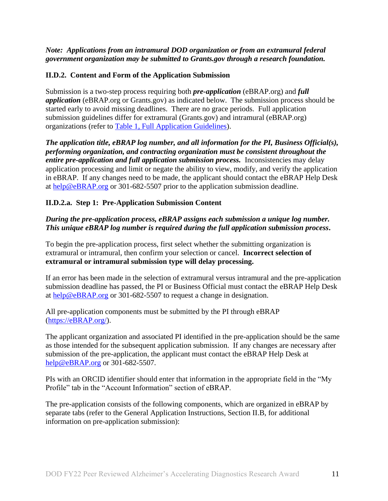#### *Note: Applications from an intramural DOD organization or from an extramural federal government organization may be submitted to Grants.gov through a research foundation.*

### <span id="page-10-0"></span>**II.D.2. Content and Form of the Application Submission**

Submission is a two-step process requiring both *pre-application* (eBRAP.org) and *full application* (eBRAP.org or Grants.gov) as indicated below. The submission process should be started early to avoid missing deadlines. There are no grace periods. Full application submission guidelines differ for extramural (Grants.gov) and intramural (eBRAP.org) organizations (refer to [Table 1, Full Application Guidelines\)](#page-12-0).

*The application title, eBRAP log number, and all information for the PI, Business Official(s), performing organization, and contracting organization must be consistent throughout the entire pre-application and full application submission process.* Inconsistencies may delay application processing and limit or negate the ability to view, modify, and verify the application in eBRAP. If any changes need to be made, the applicant should contact the eBRAP Help Desk at [help@eBRAP.org](mailto:help@eBRAP.org) or 301-682-5507 prior to the application submission deadline.

#### **II.D.2.a. Step 1: Pre-Application Submission Content**

### *During the pre-application process, eBRAP assigns each submission a unique log number. This unique eBRAP log number is required during the full application submission process***.**

To begin the pre-application process, first select whether the submitting organization is extramural or intramural, then confirm your selection or cancel. **Incorrect selection of extramural or intramural submission type will delay processing.**

If an error has been made in the selection of extramural versus intramural and the pre-application submission deadline has passed, the PI or Business Official must contact the eBRAP Help Desk at [help@eBRAP.org](mailto:help@eBRAP.org) or 301-682-5507 to request a change in designation.

All pre-application components must be submitted by the PI through eBRAP [\(https://eBRAP.org/\)](https://ebrap.org/).

The applicant organization and associated PI identified in the pre-application should be the same as those intended for the subsequent application submission. If any changes are necessary after submission of the pre-application, the applicant must contact the eBRAP Help Desk at [help@eBRAP.org](mailto:help@eBRAP.org) or 301-682-5507.

PIs with an ORCID identifier should enter that information in the appropriate field in the "My Profile" tab in the "Account Information" section of eBRAP.

The pre-application consists of the following components, which are organized in eBRAP by separate tabs (refer to the General Application Instructions, Section II.B, for additional information on pre-application submission):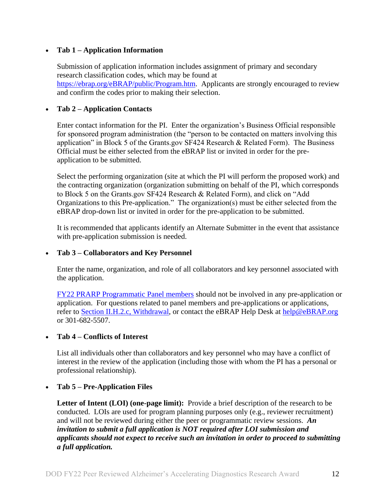#### **Tab 1 – Application Information**

Submission of application information includes assignment of primary and secondary research classification codes, which may be found at [https://ebrap.org/eBRAP/public/Program.htm.](https://ebrap.org/eBRAP/public/Program.htm) Applicants are strongly encouraged to review and confirm the codes prior to making their selection.

## **Tab 2 – Application Contacts**

Enter contact information for the PI. Enter the organization's Business Official responsible for sponsored program administration (the "person to be contacted on matters involving this application" in Block 5 of the Grants.gov SF424 Research & Related Form). The Business Official must be either selected from the eBRAP list or invited in order for the preapplication to be submitted.

Select the performing organization (site at which the PI will perform the proposed work) and the contracting organization (organization submitting on behalf of the PI, which corresponds to Block 5 on the Grants.gov SF424 Research & Related Form), and click on "Add Organizations to this Pre-application." The organization(s) must be either selected from the eBRAP drop-down list or invited in order for the pre-application to be submitted.

It is recommended that applicants identify an Alternate Submitter in the event that assistance with pre-application submission is needed.

#### **Tab 3 – Collaborators and Key Personnel**

Enter the name, organization, and role of all collaborators and key personnel associated with the application.

[FY22 PRARP Programmatic Panel members](https://cdmrp.army.mil/prarp/pscs/psc22) should not be involved in any pre-application or application. For questions related to panel members and pre-applications or applications, refer to [Section II.H.2.c, Withdrawal,](#page-37-0) or contact the eBRAP Help Desk at [help@eBRAP.org](mailto:help@eBRAP.org) or 301-682-5507.

#### **Tab 4 – Conflicts of Interest**

List all individuals other than collaborators and key personnel who may have a conflict of interest in the review of the application (including those with whom the PI has a personal or professional relationship).

#### **Tab 5 – Pre-Application Files**

Letter of Intent (LOI) (one-page limit): Provide a brief description of the research to be conducted. LOIs are used for program planning purposes only (e.g., reviewer recruitment) and will not be reviewed during either the peer or programmatic review sessions. *An invitation to submit a full application is NOT required after LOI submission and applicants should not expect to receive such an invitation in order to proceed to submitting a full application.*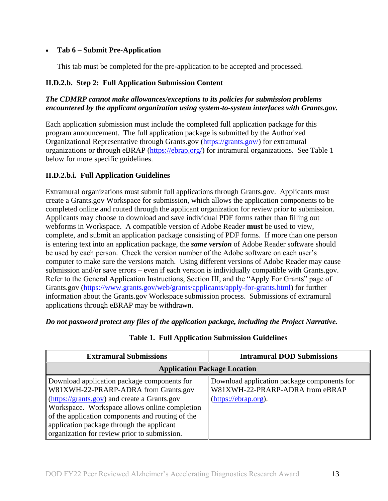## **Tab 6 – Submit Pre-Application**

This tab must be completed for the pre-application to be accepted and processed.

### **II.D.2.b. Step 2: Full Application Submission Content**

## *The CDMRP cannot make allowances/exceptions to its policies for submission problems encountered by the applicant organization using system-to-system interfaces with Grants.gov.*

Each application submission must include the completed full application package for this program announcement. The full application package is submitted by the Authorized Organizational Representative through Grants.gov [\(https://grants.gov/\)](https://www.grants.gov/) for extramural organizations or through eBRAP [\(https://ebrap.org/\)](https://ebrap.org/) for intramural organizations. See Table 1 below for more specific guidelines.

## **II.D.2.b.i. Full Application Guidelines**

Extramural organizations must submit full applications through Grants.gov. Applicants must create a Grants.gov Workspace for submission, which allows the application components to be completed online and routed through the applicant organization for review prior to submission. Applicants may choose to download and save individual PDF forms rather than filling out webforms in Workspace. A compatible version of Adobe Reader **must** be used to view, complete, and submit an application package consisting of PDF forms. If more than one person is entering text into an application package, the *same version* of Adobe Reader software should be used by each person. Check the version number of the Adobe software on each user's computer to make sure the versions match. Using different versions of Adobe Reader may cause submission and/or save errors – even if each version is individually compatible with Grants.gov. Refer to the General Application Instructions, Section III, and the "Apply For Grants" page of Grants.gov [\(https://www.grants.gov/web/grants/applicants/apply-for-grants.html\)](https://www.grants.gov/web/grants/applicants/apply-for-grants.html) for further information about the Grants.gov Workspace submission process. Submissions of extramural applications through eBRAP may be withdrawn.

<span id="page-12-0"></span>*Do not password protect any files of the application package, including the Project Narrative.*

| <b>Extramural Submissions</b>                                                                                                                                                                                                                                                                                                         | <b>Intramural DOD Submissions</b>                                                                      |  |
|---------------------------------------------------------------------------------------------------------------------------------------------------------------------------------------------------------------------------------------------------------------------------------------------------------------------------------------|--------------------------------------------------------------------------------------------------------|--|
| <b>Application Package Location</b>                                                                                                                                                                                                                                                                                                   |                                                                                                        |  |
| Download application package components for<br>W81XWH-22-PRARP-ADRA from Grants.gov<br>(https://grants.gov) and create a Grants.gov<br>Workspace. Workspace allows online completion<br>of the application components and routing of the<br>application package through the applicant<br>organization for review prior to submission. | Download application package components for<br>W81XWH-22-PRARP-ADRA from eBRAP<br>(https://ebrap.org). |  |

#### **Table 1. Full Application Submission Guidelines**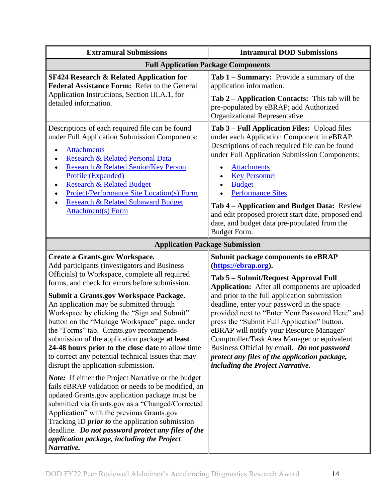| <b>Extramural Submissions</b>                                                                                                                                                                                                                                                                                                                                                                                                                                                                                                                                                                                                                                                                                                                                                                                                                                                                                                                                                                                                                                                         | <b>Intramural DOD Submissions</b>                                                                                                                                                                                                                                                                                                                                                                                                                                                                                                                                                          |  |
|---------------------------------------------------------------------------------------------------------------------------------------------------------------------------------------------------------------------------------------------------------------------------------------------------------------------------------------------------------------------------------------------------------------------------------------------------------------------------------------------------------------------------------------------------------------------------------------------------------------------------------------------------------------------------------------------------------------------------------------------------------------------------------------------------------------------------------------------------------------------------------------------------------------------------------------------------------------------------------------------------------------------------------------------------------------------------------------|--------------------------------------------------------------------------------------------------------------------------------------------------------------------------------------------------------------------------------------------------------------------------------------------------------------------------------------------------------------------------------------------------------------------------------------------------------------------------------------------------------------------------------------------------------------------------------------------|--|
| <b>Full Application Package Components</b>                                                                                                                                                                                                                                                                                                                                                                                                                                                                                                                                                                                                                                                                                                                                                                                                                                                                                                                                                                                                                                            |                                                                                                                                                                                                                                                                                                                                                                                                                                                                                                                                                                                            |  |
| <b>SF424 Research &amp; Related Application for</b><br>Federal Assistance Form: Refer to the General<br>Application Instructions, Section III.A.1, for<br>detailed information.                                                                                                                                                                                                                                                                                                                                                                                                                                                                                                                                                                                                                                                                                                                                                                                                                                                                                                       | Tab 1 – Summary: Provide a summary of the<br>application information.<br>Tab 2 – Application Contacts: This tab will be<br>pre-populated by eBRAP; add Authorized<br>Organizational Representative.                                                                                                                                                                                                                                                                                                                                                                                        |  |
| Descriptions of each required file can be found<br>under Full Application Submission Components:<br><b>Attachments</b><br>$\bullet$<br>Research & Related Personal Data<br><b>Research &amp; Related Senior/Key Person</b><br>$\bullet$<br>Profile (Expanded)<br><b>Research &amp; Related Budget</b><br>٠<br><b>Project/Performance Site Location(s) Form</b><br><b>Research &amp; Related Subaward Budget</b><br><b>Attachment(s)</b> Form                                                                                                                                                                                                                                                                                                                                                                                                                                                                                                                                                                                                                                          | Tab 3 - Full Application Files: Upload files<br>under each Application Component in eBRAP.<br>Descriptions of each required file can be found<br>under Full Application Submission Components:<br><b>Attachments</b><br><b>Key Personnel</b><br><b>Budget</b><br>$\bullet$<br><b>Performance Sites</b><br>Tab 4 - Application and Budget Data: Review<br>and edit proposed project start date, proposed end<br>date, and budget data pre-populated from the<br>Budget Form.                                                                                                                |  |
| <b>Application Package Submission</b>                                                                                                                                                                                                                                                                                                                                                                                                                                                                                                                                                                                                                                                                                                                                                                                                                                                                                                                                                                                                                                                 |                                                                                                                                                                                                                                                                                                                                                                                                                                                                                                                                                                                            |  |
| <b>Create a Grants.gov Workspace.</b><br>Add participants (investigators and Business<br>Officials) to Workspace, complete all required<br>forms, and check for errors before submission.<br><b>Submit a Grants.gov Workspace Package.</b><br>An application may be submitted through<br>Workspace by clicking the "Sign and Submit"<br>button on the "Manage Workspace" page, under<br>the "Forms" tab. Grants.gov recommends<br>submission of the application package at least<br>24-48 hours prior to the close date to allow time<br>to correct any potential technical issues that may<br>disrupt the application submission.<br><b>Note:</b> If either the Project Narrative or the budget<br>fails eBRAP validation or needs to be modified, an<br>updated Grants.gov application package must be<br>submitted via Grants.gov as a "Changed/Corrected<br>Application" with the previous Grants.gov<br>Tracking ID <i>prior to</i> the application submission<br>deadline. Do not password protect any files of the<br>application package, including the Project<br>Narrative. | <b>Submit package components to eBRAP</b><br>(https://ebrap.org).<br>Tab 5 - Submit/Request Approval Full<br>Application: After all components are uploaded<br>and prior to the full application submission<br>deadline, enter your password in the space<br>provided next to "Enter Your Password Here" and<br>press the "Submit Full Application" button.<br>eBRAP will notify your Resource Manager/<br>Comptroller/Task Area Manager or equivalent<br>Business Official by email. Do not password<br>protect any files of the application package,<br>including the Project Narrative. |  |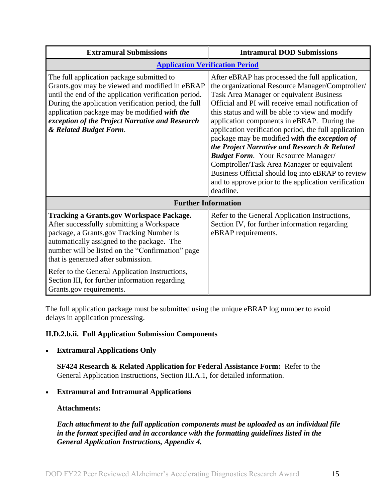| <b>Extramural Submissions</b>                                                                                                                                                                                                                                                                                                                                                                                     | <b>Intramural DOD Submissions</b>                                                                                                                                                                                                                                                                                                                                                                                                                                                                                                                                                                                                                                                        |  |
|-------------------------------------------------------------------------------------------------------------------------------------------------------------------------------------------------------------------------------------------------------------------------------------------------------------------------------------------------------------------------------------------------------------------|------------------------------------------------------------------------------------------------------------------------------------------------------------------------------------------------------------------------------------------------------------------------------------------------------------------------------------------------------------------------------------------------------------------------------------------------------------------------------------------------------------------------------------------------------------------------------------------------------------------------------------------------------------------------------------------|--|
| <b>Application Verification Period</b>                                                                                                                                                                                                                                                                                                                                                                            |                                                                                                                                                                                                                                                                                                                                                                                                                                                                                                                                                                                                                                                                                          |  |
| The full application package submitted to<br>Grants.gov may be viewed and modified in eBRAP<br>until the end of the application verification period.<br>During the application verification period, the full<br>application package may be modified with the<br>exception of the Project Narrative and Research<br>& Related Budget Form.                                                                         | After eBRAP has processed the full application,<br>the organizational Resource Manager/Comptroller/<br>Task Area Manager or equivalent Business<br>Official and PI will receive email notification of<br>this status and will be able to view and modify<br>application components in eBRAP. During the<br>application verification period, the full application<br>package may be modified with the exception of<br>the Project Narrative and Research & Related<br><b>Budget Form.</b> Your Resource Manager/<br>Comptroller/Task Area Manager or equivalent<br>Business Official should log into eBRAP to review<br>and to approve prior to the application verification<br>deadline. |  |
| <b>Further Information</b>                                                                                                                                                                                                                                                                                                                                                                                        |                                                                                                                                                                                                                                                                                                                                                                                                                                                                                                                                                                                                                                                                                          |  |
| <b>Tracking a Grants.gov Workspace Package.</b><br>After successfully submitting a Workspace<br>package, a Grants.gov Tracking Number is<br>automatically assigned to the package. The<br>number will be listed on the "Confirmation" page<br>that is generated after submission.<br>Refer to the General Application Instructions,<br>Section III, for further information regarding<br>Grants.gov requirements. | Refer to the General Application Instructions,<br>Section IV, for further information regarding<br>eBRAP requirements.                                                                                                                                                                                                                                                                                                                                                                                                                                                                                                                                                                   |  |

The full application package must be submitted using the unique eBRAP log number to avoid delays in application processing.

## <span id="page-14-0"></span>**II.D.2.b.ii. Full Application Submission Components**

#### **Extramural Applications Only**

**SF424 Research & Related Application for Federal Assistance Form:** Refer to the General Application Instructions, Section III.A.1, for detailed information.

## **Extramural and Intramural Applications**

#### <span id="page-14-1"></span>**Attachments:**

*Each attachment to the full application components must be uploaded as an individual file in the format specified and in accordance with the formatting guidelines listed in the General Application Instructions, Appendix 4.*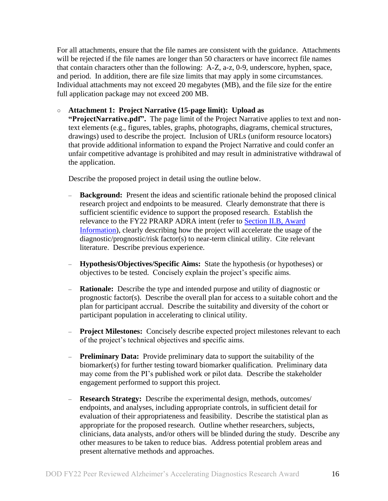For all attachments, ensure that the file names are consistent with the guidance. Attachments will be rejected if the file names are longer than 50 characters or have incorrect file names that contain characters other than the following: A-Z, a-z, 0-9, underscore, hyphen, space, and period. In addition, there are file size limits that may apply in some circumstances. Individual attachments may not exceed 20 megabytes (MB), and the file size for the entire full application package may not exceed 200 MB.

#### ○ **Attachment 1: Project Narrative (15-page limit): Upload as**

**"ProjectNarrative.pdf".** The page limit of the Project Narrative applies to text and nontext elements (e.g., figures, tables, graphs, photographs, diagrams, chemical structures, drawings) used to describe the project. Inclusion of URLs (uniform resource locators) that provide additional information to expand the Project Narrative and could confer an unfair competitive advantage is prohibited and may result in administrative withdrawal of the application.

Describe the proposed project in detail using the outline below.

- **Background:** Present the ideas and scientific rationale behind the proposed clinical research project and endpoints to be measured. Clearly demonstrate that there is sufficient scientific evidence to support the proposed research. Establish the relevance to the FY22 PRARP ADRA intent (refer to [Section II.B, Award](#page-3-1)  [Information\)](#page-3-1), clearly describing how the project will accelerate the usage of the diagnostic/prognostic/risk factor(s) to near-term clinical utility. Cite relevant literature. Describe previous experience.
- **Hypothesis/Objectives/Specific Aims:**State the hypothesis (or hypotheses) or objectives to be tested. Concisely explain the project's specific aims.
- **Rationale:** Describe the type and intended purpose and utility of diagnostic or prognostic factor(s). Describe the overall plan for access to a suitable cohort and the plan for participant accrual. Describe the suitability and diversity of the cohort or participant population in accelerating to clinical utility.
- **Project Milestones:** Concisely describe expected project milestones relevant to each of the project's technical objectives and specific aims.
- **Preliminary Data:**Provide preliminary data to support the suitability of the biomarker(s) for further testing toward biomarker qualification. Preliminary data may come from the PI's published work or pilot data. Describe the stakeholder engagement performed to support this project.
- **Research Strategy:** Describe the experimental design, methods, outcomes/ endpoints, and analyses, including appropriate controls, in sufficient detail for evaluation of their appropriateness and feasibility. Describe the statistical plan as appropriate for the proposed research. Outline whether researchers, subjects, clinicians, data analysts, and/or others will be blinded during the study. Describe any other measures to be taken to reduce bias. Address potential problem areas and present alternative methods and approaches.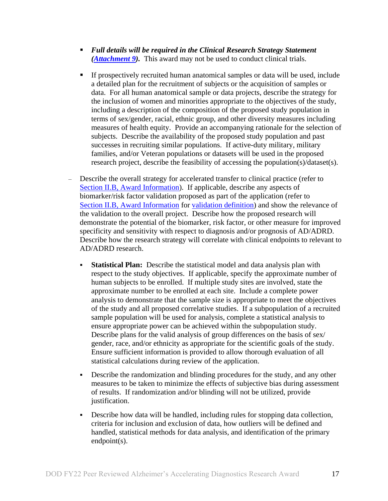- *Full details will be required in the Clinical Research Strategy Statement [\(Attachment 9\)](#page-22-0).* This award may not be used to conduct clinical trials.
- If prospectively recruited human anatomical samples or data will be used, include a detailed plan for the recruitment of subjects or the acquisition of samples or data. For all human anatomical sample or data projects, describe the strategy for the inclusion of women and minorities appropriate to the objectives of the study, including a description of the composition of the proposed study population in terms of sex/gender, racial, ethnic group, and other diversity measures including measures of health equity. Provide an accompanying rationale for the selection of subjects. Describe the availability of the proposed study population and past successes in recruiting similar populations. If active-duty military, military families, and/or Veteran populations or datasets will be used in the proposed research project, describe the feasibility of accessing the population(s)/dataset(s).
- Describe the overall strategy for accelerated transfer to clinical practice (refer to Section [II.B, Award Information\)](#page-3-1). If applicable, describe any aspects of biomarker/risk factor validation proposed as part of the application (refer to Section [II.B, Award Information](#page-3-1) for validation definition) and show the relevance of the validation to the overall project. Describe how the proposed research will demonstrate the potential of the biomarker, risk factor, or other measure for improved specificity and sensitivity with respect to diagnosis and/or prognosis of AD/ADRD. Describe how the research strategy will correlate with clinical endpoints to relevant to AD/ADRD research.
	- **Statistical Plan:** Describe the statistical model and data analysis plan with respect to the study objectives. If applicable, specify the approximate number of human subjects to be enrolled. If multiple study sites are involved, state the approximate number to be enrolled at each site. Include a complete power analysis to demonstrate that the sample size is appropriate to meet the objectives of the study and all proposed correlative studies. If a subpopulation of a recruited sample population will be used for analysis, complete a statistical analysis to ensure appropriate power can be achieved within the subpopulation study. Describe plans for the valid analysis of group differences on the basis of sex/ gender, race, and/or ethnicity as appropriate for the scientific goals of the study. Ensure sufficient information is provided to allow thorough evaluation of all statistical calculations during review of the application.
	- Describe the randomization and blinding procedures for the study, and any other measures to be taken to minimize the effects of subjective bias during assessment of results. If randomization and/or blinding will not be utilized, provide justification.
	- Describe how data will be handled, including rules for stopping data collection, criteria for inclusion and exclusion of data, how outliers will be defined and handled, statistical methods for data analysis, and identification of the primary endpoint(s).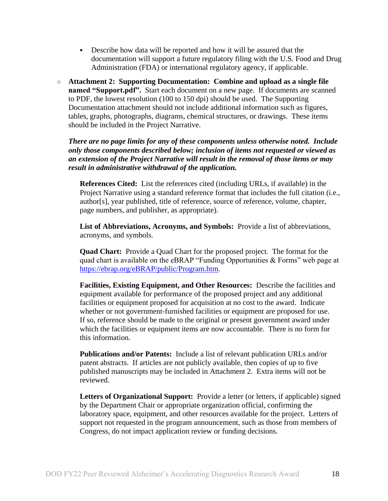- Describe how data will be reported and how it will be assured that the documentation will support a future regulatory filing with the U.S. Food and Drug Administration (FDA) or international regulatory agency, if applicable.
- **Attachment 2: Supporting Documentation: Combine and upload as a single file named "Support.pdf".** Start each document on a new page. If documents are scanned to PDF, the lowest resolution (100 to 150 dpi) should be used. The Supporting Documentation attachment should not include additional information such as figures, tables, graphs, photographs, diagrams, chemical structures, or drawings. These items should be included in the Project Narrative.

*There are no page limits for any of these components unless otherwise noted. Include only those components described below; inclusion of items not requested or viewed as an extension of the Project Narrative will result in the removal of those items or may result in administrative withdrawal of the application.*

**References Cited:** List the references cited (including URLs, if available) in the Project Narrative using a standard reference format that includes the full citation (i.e., author[s], year published, title of reference, source of reference, volume, chapter, page numbers, and publisher, as appropriate).

**List of Abbreviations, Acronyms, and Symbols:** Provide a list of abbreviations, acronyms, and symbols.

**Quad Chart:** Provide a Quad Chart for the proposed project. The format for the quad chart is available on the eBRAP "Funding Opportunities & Forms" web page at [https://ebrap.org/eBRAP/public/Program.htm.](https://ebrap.org/eBRAP/public/Program.htm)

**Facilities, Existing Equipment, and Other Resources:** Describe the facilities and equipment available for performance of the proposed project and any additional facilities or equipment proposed for acquisition at no cost to the award. Indicate whether or not government-furnished facilities or equipment are proposed for use. If so, reference should be made to the original or present government award under which the facilities or equipment items are now accountable. There is no form for this information.

**Publications and/or Patents:** Include a list of relevant publication URLs and/or patent abstracts. If articles are not publicly available, then copies of up to five published manuscripts may be included in Attachment 2. Extra items will not be reviewed.

**Letters of Organizational Support:** Provide a letter (or letters, if applicable) signed by the Department Chair or appropriate organization official, confirming the laboratory space, equipment, and other resources available for the project. Letters of support not requested in the program announcement, such as those from members of Congress, do not impact application review or funding decisions.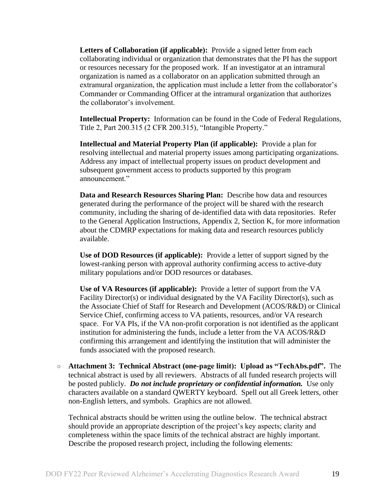**Letters of Collaboration (if applicable):** Provide a signed letter from each collaborating individual or organization that demonstrates that the PI has the support or resources necessary for the proposed work. If an investigator at an intramural organization is named as a collaborator on an application submitted through an extramural organization, the application must include a letter from the collaborator's Commander or Commanding Officer at the intramural organization that authorizes the collaborator's involvement.

**Intellectual Property:** Information can be found in the Code of Federal Regulations, Title 2, Part 200.315 (2 CFR 200.315), "Intangible Property."

**Intellectual and Material Property Plan (if applicable):** Provide a plan for resolving intellectual and material property issues among participating organizations. Address any impact of intellectual property issues on product development and subsequent government access to products supported by this program announcement."

**Data and Research Resources Sharing Plan:** Describe how data and resources generated during the performance of the project will be shared with the research community, including the sharing of de-identified data with data repositories. Refer to the General Application Instructions, Appendix 2, Section K, for more information about the CDMRP expectations for making data and research resources publicly available.

**Use of DOD Resources (if applicable):** Provide a letter of support signed by the lowest-ranking person with approval authority confirming access to active-duty military populations and/or DOD resources or databases.

**Use of VA Resources (if applicable):** Provide a letter of support from the VA Facility Director(s) or individual designated by the VA Facility Director(s), such as the Associate Chief of Staff for Research and Development (ACOS/R&D) or Clinical Service Chief, confirming access to VA patients, resources, and/or VA research space. For VA PIs, if the VA non-profit corporation is not identified as the applicant institution for administering the funds, include a letter from the VA ACOS/R&D confirming this arrangement and identifying the institution that will administer the funds associated with the proposed research.

○ **Attachment 3: Technical Abstract (one-page limit): Upload as "TechAbs.pdf".** The technical abstract is used by all reviewers. Abstracts of all funded research projects will be posted publicly. *Do not include proprietary or confidential information.* Use only characters available on a standard QWERTY keyboard. Spell out all Greek letters, other non-English letters, and symbols. Graphics are not allowed.

Technical abstracts should be written using the outline below. The technical abstract should provide an appropriate description of the project's key aspects; clarity and completeness within the space limits of the technical abstract are highly important. Describe the proposed research project, including the following elements: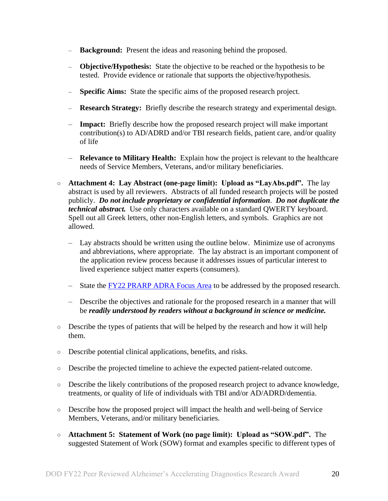- **Background:** Present the ideas and reasoning behind the proposed.
- **Objective/Hypothesis:** State the objective to be reached or the hypothesis to be tested. Provide evidence or rationale that supports the objective/hypothesis.
- **Specific Aims:** State the specific aims of the proposed research project.
- **Research Strategy:** Briefly describe the research strategy and experimental design.
- **Impact:** Briefly describe how the proposed research project will make important contribution(s) to AD/ADRD and/or TBI research fields, patient care, and/or quality of life
- **Relevance to Military Health:** Explain how the project is relevant to the healthcare needs of Service Members, Veterans, and/or military beneficiaries.
- **Attachment 4: Lay Abstract (one-page limit): Upload as "LayAbs.pdf".** The lay abstract is used by all reviewers. Abstracts of all funded research projects will be posted publicly. *Do not include proprietary or confidential information*. *Do not duplicate the technical abstract.* Use only characters available on a standard QWERTY keyboard. Spell out all Greek letters, other non-English letters, and symbols. Graphics are not allowed.
	- Lay abstracts should be written using the outline below. Minimize use of acronyms and abbreviations, where appropriate. The lay abstract is an important component of the application review process because it addresses issues of particular interest to lived experience subject matter experts (consumers).
	- State the [FY22 PRARP ADRA Focus Area](#page-2-2) to be addressed by the proposed research.
	- Describe the objectives and rationale for the proposed research in a manner that will be *readily understood by readers without a background in science or medicine.*
- Describe the types of patients that will be helped by the research and how it will help them.
- Describe potential clinical applications, benefits, and risks.
- Describe the projected timeline to achieve the expected patient-related outcome.
- Describe the likely contributions of the proposed research project to advance knowledge, treatments, or quality of life of individuals with TBI and/or AD/ADRD/dementia.
- Describe how the proposed project will impact the health and well-being of Service Members, Veterans, and/or military beneficiaries.
- **Attachment 5: Statement of Work (no page limit): Upload as "SOW.pdf".** The suggested Statement of Work (SOW) format and examples specific to different types of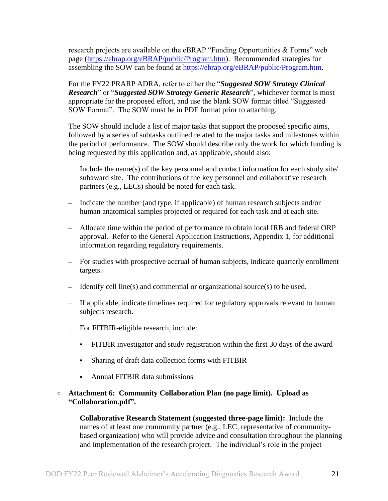research projects are available on the eBRAP "Funding Opportunities & Forms" web page [\(https://ebrap.org/eBRAP/public/Program.htm\)](https://ebrap.org/eBRAP/public/Program.htm). Recommended strategies for assembling the SOW can be found at [https://ebrap.org/eBRAP/public/Program.htm.](https://ebrap.org/eBRAP/public/Program.htm)

For the FY22 PRARP ADRA, refer to either the "*Suggested SOW Strategy Clinical Research*" or "*Suggested SOW Strategy Generic Research*", whichever format is most appropriate for the proposed effort, and use the blank SOW format titled "Suggested SOW Format". The SOW must be in PDF format prior to attaching.

The SOW should include a list of major tasks that support the proposed specific aims, followed by a series of subtasks outlined related to the major tasks and milestones within the period of performance. The SOW should describe only the work for which funding is being requested by this application and, as applicable, should also:

- Include the name(s) of the key personnel and contact information for each study site/ subaward site. The contributions of the key personnel and collaborative research partners (e.g., LECs) should be noted for each task.
- Indicate the number (and type, if applicable) of human research subjects and/or human anatomical samples projected or required for each task and at each site.
- Allocate time within the period of performance to obtain local IRB and federal ORP approval. Refer to the General Application Instructions, Appendix 1, for additional information regarding regulatory requirements.
- For studies with prospective accrual of human subjects, indicate quarterly enrollment targets.
- Identify cell line(s) and commercial or organizational source(s) to be used.
- If applicable, indicate timelines required for regulatory approvals relevant to human subjects research.
- For FITBIR-eligible research, include:
	- FITBIR investigator and study registration within the first 30 days of the award
	- Sharing of draft data collection forms with FITBIR
	- Annual FITBIR data submissions

### <span id="page-20-0"></span>○ **Attachment 6: Community Collaboration Plan (no page limit). Upload as "Collaboration.pdf".**

– **Collaborative Research Statement (suggested three-page limit):** Include the names of at least one community partner (e.g., LEC, representative of communitybased organization) who will provide advice and consultation throughout the planning and implementation of the research project. The individual's role in the project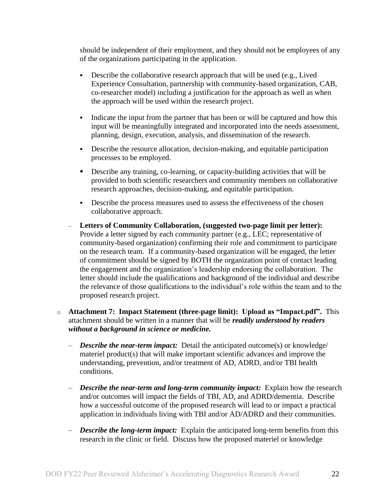should be independent of their employment, and they should not be employees of any of the organizations participating in the application.

- Describe the collaborative research approach that will be used (e.g., Lived Experience Consultation, partnership with community-based organization, CAB, co-researcher model) including a justification for the approach as well as when the approach will be used within the research project.
- Indicate the input from the partner that has been or will be captured and how this input will be meaningfully integrated and incorporated into the needs assessment, planning, design, execution, analysis, and dissemination of the research.
- Describe the resource allocation, decision-making, and equitable participation processes to be employed.
- Describe any training, co-learning, or capacity-building activities that will be provided to both scientific researchers and community members on collaborative research approaches, decision-making, and equitable participation.
- Describe the process measures used to assess the effectiveness of the chosen collaborative approach.
- **Letters of Community Collaboration, (suggested two-page limit per letter):** Provide a letter signed by each community partner (e.g., LEC; representative of community-based organization) confirming their role and commitment to participate on the research team. If a community-based organization will be engaged, the letter of commitment should be signed by BOTH the organization point of contact leading the engagement and the organization's leadership endorsing the collaboration. The letter should include the qualifications and background of the individual and describe the relevance of those qualifications to the individual's role within the team and to the proposed research project.
- o **Attachment 7: Impact Statement (three-page limit): Upload as "Impact.pdf".** This attachment should be written in a manner that will be *readily understood by readers without a background in science or medicine.* 
	- *Describe the near-term impact:* Detail the anticipated outcome(s) or knowledge/ materiel product(s) that will make important scientific advances and improve the understanding, prevention, and/or treatment of AD, ADRD, and/or TBI health conditions.
	- *Describe the near-term and long-term community impact:* Explain how the research and/or outcomes will impact the fields of TBI, AD, and ADRD/dementia. Describe how a successful outcome of the proposed research will lead to or impact a practical application in individuals living with TBI and/or AD/ADRD and their communities.
	- *Describe the long-term impact:* Explain the anticipated long-term benefits from this research in the clinic or field. Discuss how the proposed materiel or knowledge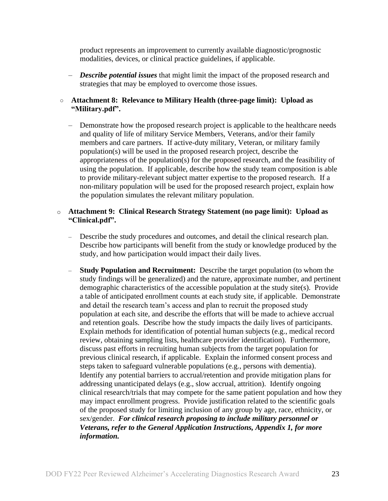product represents an improvement to currently available diagnostic/prognostic modalities, devices, or clinical practice guidelines, if applicable.

– *Describe potential issues* that might limit the impact of the proposed research and strategies that may be employed to overcome those issues.

#### ○ **Attachment 8: Relevance to Military Health (three-page limit): Upload as "Military.pdf".**

– Demonstrate how the proposed research project is applicable to the healthcare needs and quality of life of military Service Members, Veterans, and/or their family members and care partners. If active-duty military, Veteran, or military family population(s) will be used in the proposed research project, describe the appropriateness of the population(s) for the proposed research, and the feasibility of using the population. If applicable, describe how the study team composition is able to provide military-relevant subject matter expertise to the proposed research. If a non-military population will be used for the proposed research project, explain how the population simulates the relevant military population.

#### <span id="page-22-0"></span>o **Attachment 9: Clinical Research Strategy Statement (no page limit): Upload as "Clinical.pdf".**

- Describe the study procedures and outcomes, and detail the clinical research plan. Describe how participants will benefit from the study or knowledge produced by the study, and how participation would impact their daily lives.
- **Study Population and Recruitment:** Describe the target population (to whom the study findings will be generalized) and the nature, approximate number, and pertinent demographic characteristics of the accessible population at the study site(s). Provide a table of anticipated enrollment counts at each study site, if applicable. Demonstrate and detail the research team's access and plan to recruit the proposed study population at each site, and describe the efforts that will be made to achieve accrual and retention goals. Describe how the study impacts the daily lives of participants. Explain methods for identification of potential human subjects (e.g., medical record review, obtaining sampling lists, healthcare provider identification). Furthermore, discuss past efforts in recruiting human subjects from the target population for previous clinical research, if applicable. Explain the informed consent process and steps taken to safeguard vulnerable populations (e.g., persons with dementia). Identify any potential barriers to accrual/retention and provide mitigation plans for addressing unanticipated delays (e.g., slow accrual, attrition). Identify ongoing clinical research/trials that may compete for the same patient population and how they may impact enrollment progress. Provide justification related to the scientific goals of the proposed study for limiting inclusion of any group by age, race, ethnicity, or sex/gender. *For clinical research proposing to include military personnel or Veterans, refer to the General Application Instructions, Appendix 1, for more information.*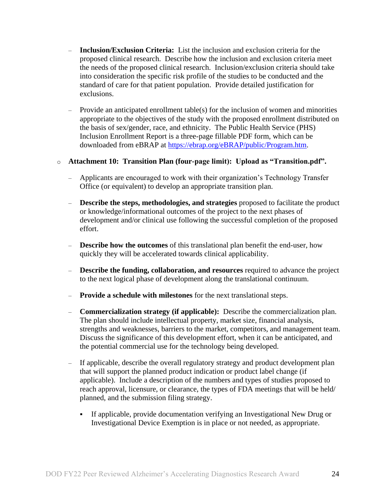- **Inclusion/Exclusion Criteria:** List the inclusion and exclusion criteria for the proposed clinical research. Describe how the inclusion and exclusion criteria meet the needs of the proposed clinical research. Inclusion/exclusion criteria should take into consideration the specific risk profile of the studies to be conducted and the standard of care for that patient population. Provide detailed justification for exclusions.
- Provide an anticipated enrollment table(s) for the inclusion of women and minorities appropriate to the objectives of the study with the proposed enrollment distributed on the basis of sex/gender, race, and ethnicity. The Public Health Service (PHS) Inclusion Enrollment Report is a three-page fillable PDF form, which can be downloaded from eBRAP at [https://ebrap.org/eBRAP/public/Program.htm.](https://ebrap.org/eBRAP/public/Program.htm)

#### o **Attachment 10: Transition Plan (four-page limit): Upload as "Transition.pdf".**

- Applicants are encouraged to work with their organization's Technology Transfer Office (or equivalent) to develop an appropriate transition plan.
- **Describe the steps, methodologies, and strategies** proposed to facilitate the product or knowledge/informational outcomes of the project to the next phases of development and/or clinical use following the successful completion of the proposed effort.
- **Describe how the outcomes** of this translational plan benefit the end-user, how quickly they will be accelerated towards clinical applicability.
- **Describe the funding, collaboration, and resources** required to advance the project to the next logical phase of development along the translational continuum.
- **Provide a schedule with milestones** for the next translational steps.
- **Commercialization strategy (if applicable):** Describe the commercialization plan. The plan should include intellectual property, market size, financial analysis, strengths and weaknesses, barriers to the market, competitors, and management team. Discuss the significance of this development effort, when it can be anticipated, and the potential commercial use for the technology being developed.
- If applicable, describe the overall regulatory strategy and product development plan that will support the planned product indication or product label change (if applicable). Include a description of the numbers and types of studies proposed to reach approval, licensure, or clearance, the types of FDA meetings that will be held/ planned, and the submission filing strategy.
	- If applicable, provide documentation verifying an Investigational New Drug or Investigational Device Exemption is in place or not needed, as appropriate.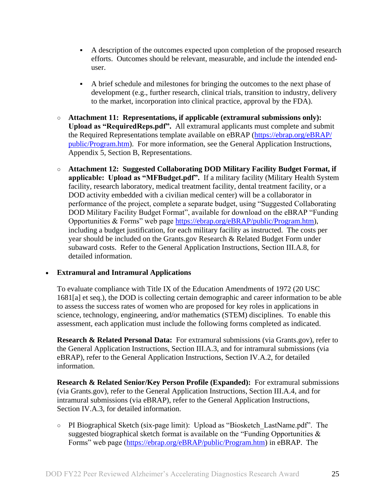- A description of the outcomes expected upon completion of the proposed research efforts. Outcomes should be relevant, measurable, and include the intended enduser.
- A brief schedule and milestones for bringing the outcomes to the next phase of development (e.g., further research, clinical trials, transition to industry, delivery to the market, incorporation into clinical practice, approval by the FDA).
- **Attachment 11: Representations, if applicable (extramural submissions only): Upload as "RequiredReps.pdf".** All extramural applicants must complete and submit the Required Representations template available on eBRAP [\(https://ebrap.org/eBRAP/](https://ebrap.org/eBRAP/public/Program.htm) [public/Program.htm\)](https://ebrap.org/eBRAP/public/Program.htm). For more information, see the General Application Instructions, Appendix 5, Section B, Representations.
- <span id="page-24-2"></span>○ **Attachment 12: Suggested Collaborating DOD Military Facility Budget Format, if applicable: Upload as "MFBudget.pdf".** If a military facility (Military Health System facility, research laboratory, medical treatment facility, dental treatment facility, or a DOD activity embedded with a civilian medical center) will be a collaborator in performance of the project, complete a separate budget, using "Suggested Collaborating DOD Military Facility Budget Format", available for download on the eBRAP "Funding Opportunities & Forms" web page [https://ebrap.org/eBRAP/public/Program.htm\)](https://ebrap.org/eBRAP/public/Program.htm), including a budget justification, for each military facility as instructed. The costs per year should be included on the Grants.gov Research & Related Budget Form under subaward costs. Refer to the General Application Instructions, Section III.A.8, for detailed information.

#### **Extramural and Intramural Applications**

To evaluate compliance with Title IX of the Education Amendments of 1972 (20 USC 1681[a] et seq.), the DOD is collecting certain demographic and career information to be able to assess the success rates of women who are proposed for key roles in applications in science, technology, engineering, and/or mathematics (STEM) disciplines. To enable this assessment, each application must include the following forms completed as indicated.

<span id="page-24-0"></span>**Research & Related Personal Data:** For extramural submissions (via Grants.gov), refer to the General Application Instructions, Section III.A.3, and for intramural submissions (via eBRAP), refer to the General Application Instructions, Section IV.A.2, for detailed information.

<span id="page-24-1"></span>**Research & Related Senior/Key Person Profile (Expanded):** For extramural submissions (via Grants.gov), refer to the General Application Instructions, Section III.A.4, and for intramural submissions (via eBRAP), refer to the General Application Instructions, Section IV.A.3, for detailed information.

○ PI Biographical Sketch (six-page limit): Upload as "Biosketch\_LastName.pdf". The suggested biographical sketch format is available on the "Funding Opportunities  $\&$ Forms" web page [\(https://ebrap.org/eBRAP/public/Program.htm\)](https://ebrap.org/eBRAP/public/Program.htm) in eBRAP. The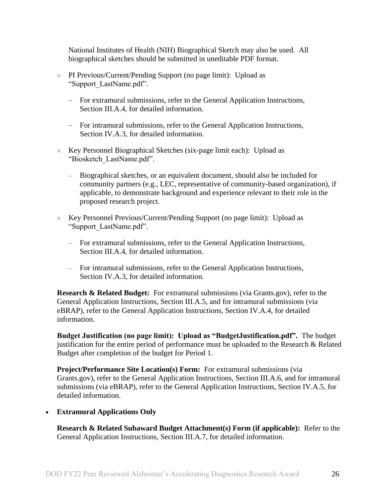National Institutes of Health (NIH) Biographical Sketch may also be used. All biographical sketches should be submitted in uneditable PDF format.

- PI Previous/Current/Pending Support (no page limit): Upload as "Support\_LastName.pdf".
	- For extramural submissions, refer to the General Application Instructions, Section III.A.4, for detailed information.
	- For intramural submissions, refer to the General Application Instructions, Section IV.A.3, for detailed information.
- Key Personnel Biographical Sketches (six-page limit each): Upload as "Biosketch\_LastName.pdf".
	- Biographical sketches, or an equivalent document, should also be included for community partners (e.g., LEC, representative of community-based organization), if applicable, to demonstrate background and experience relevant to their role in the proposed research project.
- Key Personnel Previous/Current/Pending Support (no page limit): Upload as "Support\_LastName.pdf".
	- For extramural submissions, refer to the General Application Instructions, Section III.A.4, for detailed information.
	- For intramural submissions, refer to the General Application Instructions, Section IV.A.3, for detailed information.

<span id="page-25-0"></span>**Research & Related Budget:** For extramural submissions (via Grants.gov), refer to the General Application Instructions, Section III.A.5, and for intramural submissions (via eBRAP), refer to the General Application Instructions, Section IV.A.4, for detailed information.

**Budget Justification (no page limit): Upload as "BudgetJustification.pdf".** The budget justification for the entire period of performance must be uploaded to the Research & Related Budget after completion of the budget for Period 1.

<span id="page-25-1"></span>**Project/Performance Site Location(s) Form:** For extramural submissions (via Grants.gov), refer to the General Application Instructions, Section III.A.6, and for intramural submissions (via eBRAP), refer to the General Application Instructions, Section IV.A.5, for detailed information.

**Extramural Applications Only**

<span id="page-25-2"></span>**Research & Related Subaward Budget Attachment(s) Form (if applicable):** Refer to the General Application Instructions, Section III.A.7, for detailed information.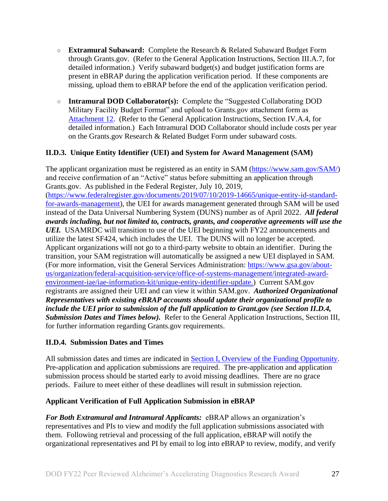- **Extramural Subaward:** Complete the Research & Related Subaward Budget Form through Grants.gov. (Refer to the General Application Instructions, Section III.A.7, for detailed information.) Verify subaward budget(s) and budget justification forms are present in eBRAP during the application verification period. If these components are missing, upload them to eBRAP before the end of the application verification period.
- **Intramural DOD Collaborator(s):** Complete the "Suggested Collaborating DOD Military Facility Budget Format" and upload to Grants.gov attachment form as [Attachment 12.](#page-24-2) (Refer to the General Application Instructions, Section IV.A.4, for detailed information.) Each Intramural DOD Collaborator should include costs per year on the Grants.gov Research & Related Budget Form under subaward costs.

## <span id="page-26-0"></span>**II.D.3. Unique Entity Identifier (UEI) and System for Award Management (SAM)**

The applicant organization must be registered as an entity in SAM [\(https://www.sam.gov/SAM/\)](https://www.sam.gov/SAM/) and receive confirmation of an "Active" status before submitting an application through Grants.gov. As published in the Federal Register, July 10, 2019, [\(https://www.federalregister.gov/documents/2019/07/10/2019-14665/unique-entity-id-standard](https://www.federalregister.gov/documents/2019/07/10/2019-14665/unique-entity-id-standard-for-awards-management)[for-awards-management\)](https://www.federalregister.gov/documents/2019/07/10/2019-14665/unique-entity-id-standard-for-awards-management), the UEI for awards management generated through SAM will be used instead of the Data Universal Numbering System (DUNS) number as of April 2022. *All federal awards including, but not limited to, contracts, grants, and cooperative agreements will use the UEI.* USAMRDC will transition to use of the UEI beginning with FY22 announcements and utilize the latest SF424, which includes the UEI. The DUNS will no longer be accepted. Applicant organizations will not go to a third-party website to obtain an identifier. During the transition, your SAM registration will automatically be assigned a new UEI displayed in SAM. (For more information, visit the General Services Administration: [https://www.gsa.gov/about](https://www.gsa.gov/about-us/organization/federal-acquisition-service/office-of-systems-management/integrated-award-environment-iae/iae-information-kit/unique-entity-identifier-update)[us/organization/federal-acquisition-service/office-of-systems-management/integrated-award](https://www.gsa.gov/about-us/organization/federal-acquisition-service/office-of-systems-management/integrated-award-environment-iae/iae-information-kit/unique-entity-identifier-update)[environment-iae/iae-information-kit/unique-entity-identifier-update.](https://www.gsa.gov/about-us/organization/federal-acquisition-service/office-of-systems-management/integrated-award-environment-iae/iae-information-kit/unique-entity-identifier-update)) Current SAM.gov registrants are assigned their UEI and can view it within SAM.gov. *Authorized Organizational Representatives with existing eBRAP accounts should update their organizational profile to include the UEI prior to submission of the full application to Grant.gov (see Section II.D.4, Submission Dates and Times below).* Refer to the General Application Instructions, Section III, for further information regarding Grants.gov requirements.

#### <span id="page-26-1"></span>**II.D.4. Submission Dates and Times**

All submission dates and times are indicated in [Section I, Overview of the Funding Opportunity.](#page-0-1) Pre-application and application submissions are required. The pre-application and application submission process should be started early to avoid missing deadlines. There are no grace periods. Failure to meet either of these deadlines will result in submission rejection.

#### <span id="page-26-2"></span>**Applicant Verification of Full Application Submission in eBRAP**

*For Both Extramural and Intramural Applicants:* eBRAP allows an organization's representatives and PIs to view and modify the full application submissions associated with them. Following retrieval and processing of the full application, eBRAP will notify the organizational representatives and PI by email to log into eBRAP to review, modify, and verify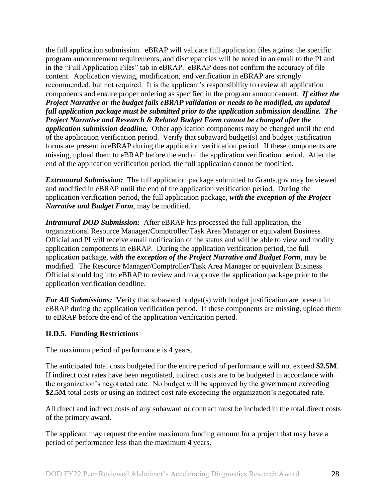the full application submission. eBRAP will validate full application files against the specific program announcement requirements, and discrepancies will be noted in an email to the PI and in the "Full Application Files" tab in eBRAP. eBRAP does not confirm the accuracy of file content. Application viewing, modification, and verification in eBRAP are strongly recommended, but not required. It is the applicant's responsibility to review all application components and ensure proper ordering as specified in the program announcement. *If either the Project Narrative or the budget fails eBRAP validation or needs to be modified, an updated full application package must be submitted prior to the application submission deadline. The Project Narrative and Research & Related Budget Form cannot be changed after the application submission deadline.* Other application components may be changed until the end of the [application verification period.](#page-0-0) Verify that subaward budget(s) and budget justification forms are present in eBRAP during the application verification period. If these components are missing, upload them to eBRAP before the end of the application verification period. After the end of the application verification period, the full application cannot be modified.

*Extramural Submission:* The full application package submitted to Grants.gov may be viewed and modified in eBRAP until the end of the application verification period. During the application verification period, the full application package, *with the exception of the Project Narrative and Budget Form,* may be modified.

*Intramural DOD Submission:* After eBRAP has processed the full application, the organizational Resource Manager/Comptroller/Task Area Manager or equivalent Business Official and PI will receive email notification of the status and will be able to view and modify application components in eBRAP. During the application verification period, the full application package, *with the exception of the Project Narrative and Budget Form*, may be modified. The Resource Manager/Comptroller/Task Area Manager or equivalent Business Official should log into eBRAP to review and to approve the application package prior to the application verification deadline.

*For All Submissions:* Verify that subaward budget(s) with budget justification are present in eBRAP during the application verification period. If these components are missing, upload them to eBRAP before the end of the application verification period.

#### <span id="page-27-0"></span>**II.D.5. Funding Restrictions**

The maximum period of performance is **4** years.

The anticipated total costs budgeted for the entire period of performance will not exceed **\$2.5M**. If indirect cost rates have been negotiated, indirect costs are to be budgeted in accordance with the organization's negotiated rate. No budget will be approved by the government exceeding \$2.5M total costs or using an indirect cost rate exceeding the organization's negotiated rate.

All direct and indirect costs of any subaward or contract must be included in the total direct costs of the primary award.

The applicant may request the entire maximum funding amount for a project that may have a period of performance less than the maximum **4** years.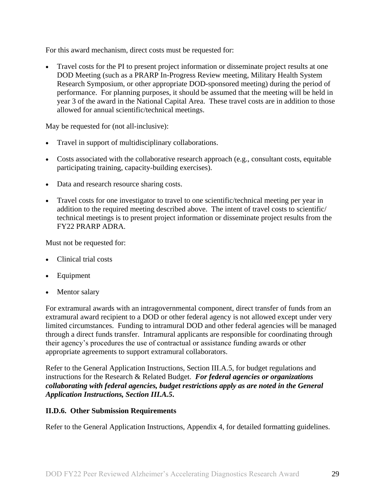For this award mechanism, direct costs must be requested for:

 Travel costs for the PI to present project information or disseminate project results at one DOD Meeting (such as a PRARP In-Progress Review meeting, Military Health System Research Symposium, or other appropriate DOD-sponsored meeting) during the period of performance. For planning purposes, it should be assumed that the meeting will be held in year 3 of the award in the National Capital Area. These travel costs are in addition to those allowed for annual scientific/technical meetings.

May be requested for (not all-inclusive):

- Travel in support of multidisciplinary collaborations.
- Costs associated with the collaborative research approach (e.g., consultant costs, equitable participating training, capacity-building exercises).
- Data and research resource sharing costs.
- Travel costs for one investigator to travel to one scientific/technical meeting per year in addition to the required meeting described above. The intent of travel costs to scientific/ technical meetings is to present project information or disseminate project results from the FY22 PRARP ADRA.

Must not be requested for:

- Clinical trial costs
- Equipment
- Mentor salary

For extramural awards with an intragovernmental component, direct transfer of funds from an extramural award recipient to a DOD or other federal agency is not allowed except under very limited circumstances. Funding to intramural DOD and other federal agencies will be managed through a direct funds transfer. Intramural applicants are responsible for coordinating through their agency's procedures the use of contractual or assistance funding awards or other appropriate agreements to support extramural collaborators.

Refer to the General Application Instructions, Section III.A.5, for budget regulations and instructions for the Research & Related Budget. *For federal agencies or organizations collaborating with federal agencies, budget restrictions apply as are noted in the General Application Instructions, Section III.A.5***.**

#### <span id="page-28-0"></span>**II.D.6. Other Submission Requirements**

Refer to the General Application Instructions, Appendix 4, for detailed formatting guidelines.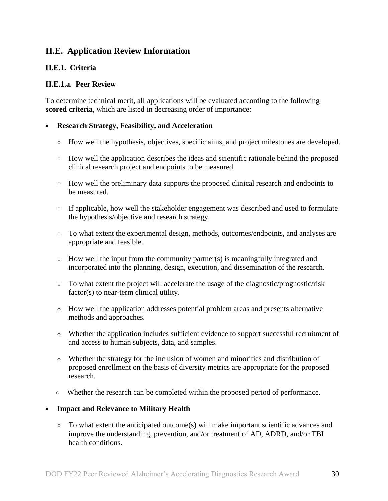## <span id="page-29-0"></span>**II.E. Application Review Information**

## <span id="page-29-1"></span>**II.E.1. Criteria**

#### **II.E.1.a. Peer Review**

To determine technical merit, all applications will be evaluated according to the following **scored criteria**, which are listed in decreasing order of importance:

#### **Research Strategy, Feasibility, and Acceleration**

- How well the hypothesis, objectives, specific aims, and project milestones are developed.
- How well the application describes the ideas and scientific rationale behind the proposed clinical research project and endpoints to be measured.
- How well the preliminary data supports the proposed clinical research and endpoints to be measured.
- If applicable, how well the stakeholder engagement was described and used to formulate the hypothesis/objective and research strategy.
- To what extent the experimental design, methods, outcomes/endpoints, and analyses are appropriate and feasible.
- How well the input from the community partner(s) is meaningfully integrated and incorporated into the planning, design, execution, and dissemination of the research.
- To what extent the project will accelerate the usage of the diagnostic/prognostic/risk factor(s) to near-term clinical utility.
- o How well the application addresses potential problem areas and presents alternative methods and approaches.
- o Whether the application includes sufficient evidence to support successful recruitment of and access to human subjects, data, and samples.
- o Whether the strategy for the inclusion of women and minorities and distribution of proposed enrollment on the basis of diversity metrics are appropriate for the proposed research.
- Whether the research can be completed within the proposed period of performance.

#### **Impact and Relevance to Military Health**

○ To what extent the anticipated outcome(s) will make important scientific advances and improve the understanding, prevention, and/or treatment of AD, ADRD, and/or TBI health conditions.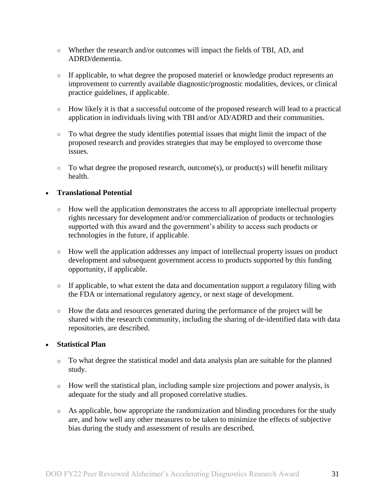- Whether the research and/or outcomes will impact the fields of TBI, AD, and ADRD/dementia.
- If applicable, to what degree the proposed materiel or knowledge product represents an improvement to currently available diagnostic/prognostic modalities, devices, or clinical practice guidelines, if applicable.
- How likely it is that a successful outcome of the proposed research will lead to a practical application in individuals living with TBI and/or AD/ADRD and their communities.
- To what degree the study identifies potential issues that might limit the impact of the proposed research and provides strategies that may be employed to overcome those issues.
- $\circ$  To what degree the proposed research, outcome(s), or product(s) will benefit military health.

#### **Translational Potential**

- How well the application demonstrates the access to all appropriate intellectual property rights necessary for development and/or commercialization of products or technologies supported with this award and the government's ability to access such products or technologies in the future, if applicable.
- How well the application addresses any impact of intellectual property issues on product development and subsequent government access to products supported by this funding opportunity, if applicable.
- If applicable, to what extent the data and documentation support a regulatory filing with the FDA or international regulatory agency, or next stage of development.
- How the data and resources generated during the performance of the project will be shared with the research community, including the sharing of de-identified data with data repositories, are described.

#### **Statistical Plan**

- o To what degree the statistical model and data analysis plan are suitable for the planned study.
- o How well the statistical plan, including sample size projections and power analysis, is adequate for the study and all proposed correlative studies.
- o As applicable, how appropriate the randomization and blinding procedures for the study are, and how well any other measures to be taken to minimize the effects of subjective bias during the study and assessment of results are described.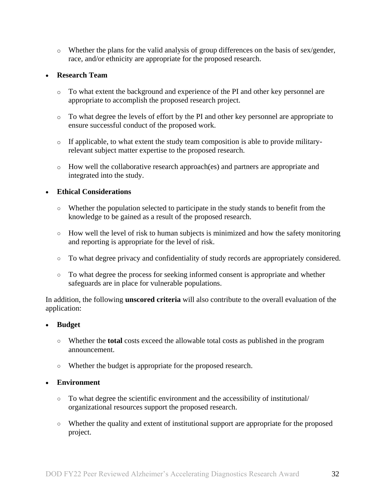o Whether the plans for the valid analysis of group differences on the basis of sex/gender, race, and/or ethnicity are appropriate for the proposed research.

#### **Research Team**

- o To what extent the background and experience of the PI and other key personnel are appropriate to accomplish the proposed research project.
- o To what degree the levels of effort by the PI and other key personnel are appropriate to ensure successful conduct of the proposed work.
- o If applicable, to what extent the study team composition is able to provide militaryrelevant subject matter expertise to the proposed research.
- o How well the collaborative research approach(es) and partners are appropriate and integrated into the study.

#### **Ethical Considerations**

- Whether the population selected to participate in the study stands to benefit from the knowledge to be gained as a result of the proposed research.
- How well the level of risk to human subjects is minimized and how the safety monitoring and reporting is appropriate for the level of risk.
- To what degree privacy and confidentiality of study records are appropriately considered.
- To what degree the process for seeking informed consent is appropriate and whether safeguards are in place for vulnerable populations.

In addition, the following **unscored criteria** will also contribute to the overall evaluation of the application:

#### **Budget**

- Whether the **total** costs exceed the allowable total costs as published in the program announcement.
- Whether the budget is appropriate for the proposed research.

#### **Environment**

- To what degree the scientific environment and the accessibility of institutional/ organizational resources support the proposed research.
- Whether the quality and extent of institutional support are appropriate for the proposed project.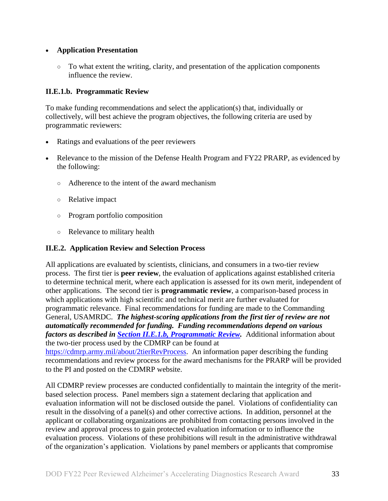#### **Application Presentation**

 $\circ$  To what extent the writing, clarity, and presentation of the application components influence the review.

### <span id="page-32-1"></span>**II.E.1.b. Programmatic Review**

To make funding recommendations and select the application(s) that, individually or collectively, will best achieve the program objectives, the following criteria are used by programmatic reviewers:

- Ratings and evaluations of the peer reviewers
- Relevance to the mission of the Defense Health Program and FY22 PRARP, as evidenced by the following:
	- Adherence to the intent of the award mechanism
	- Relative impact
	- Program portfolio composition
	- Relevance to military health

## <span id="page-32-0"></span>**II.E.2. Application Review and Selection Process**

All applications are evaluated by scientists, clinicians, and consumers in a two-tier review process. The first tier is **peer review**, the evaluation of applications against established criteria to determine technical merit, where each application is assessed for its own merit, independent of other applications. The second tier is **programmatic review**, a comparison-based process in which applications with high scientific and technical merit are further evaluated for programmatic relevance. Final recommendations for funding are made to the Commanding General, USAMRDC. *The highest-scoring applications from the first tier of review are not automatically recommended for funding. Funding recommendations depend on various factors as described in Section [II.E.1.b, Programmatic Review.](#page-32-1)* Additional information about the two-tier process used by the CDMRP can be found at [https://cdmrp.army.mil/about/2tierRevProcess.](http://cdmrp.army.mil/about/2tierRevProcess) An information paper describing the funding

recommendations and review process for the award mechanisms for the PRARP will be provided to the PI and posted on the CDMRP website.

All CDMRP review processes are conducted confidentially to maintain the integrity of the meritbased selection process. Panel members sign a statement declaring that application and evaluation information will not be disclosed outside the panel. Violations of confidentiality can result in the dissolving of a panel(s) and other corrective actions. In addition, personnel at the applicant or collaborating organizations are prohibited from contacting persons involved in the review and approval process to gain protected evaluation information or to influence the evaluation process. Violations of these prohibitions will result in the administrative withdrawal of the organization's application. Violations by panel members or applicants that compromise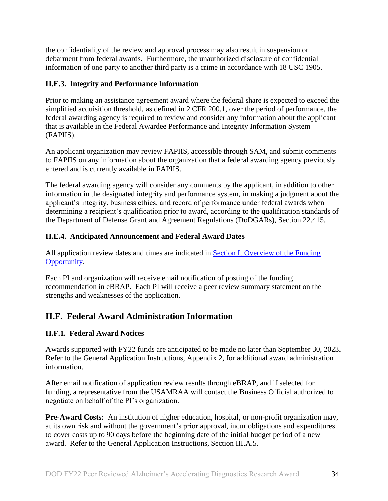the confidentiality of the review and approval process may also result in suspension or debarment from federal awards. Furthermore, the unauthorized disclosure of confidential information of one party to another third party is a crime in accordance with 18 USC 1905.

#### <span id="page-33-0"></span>**II.E.3. Integrity and Performance Information**

Prior to making an assistance agreement award where the federal share is expected to exceed the simplified acquisition threshold, as defined in 2 CFR 200.1, over the period of performance, the federal awarding agency is required to review and consider any information about the applicant that is available in the Federal Awardee Performance and Integrity Information System (FAPIIS).

An applicant organization may review FAPIIS, accessible through SAM, and submit comments to FAPIIS on any information about the organization that a federal awarding agency previously entered and is currently available in FAPIIS.

The federal awarding agency will consider any comments by the applicant, in addition to other information in the designated integrity and performance system, in making a judgment about the applicant's integrity, business ethics, and record of performance under federal awards when determining a recipient's qualification prior to award, according to the qualification standards of the Department of Defense Grant and Agreement Regulations (DoDGARs), Section 22.415.

## <span id="page-33-1"></span>**II.E.4. Anticipated Announcement and Federal Award Dates**

All application review dates and times are indicated in [Section I, Overview of the Funding](#page-0-1)  [Opportunity.](#page-0-1)

Each PI and organization will receive email notification of posting of the funding recommendation in eBRAP. Each PI will receive a peer review summary statement on the strengths and weaknesses of the application.

## <span id="page-33-2"></span>**II.F. Federal Award Administration Information**

## <span id="page-33-3"></span>**II.F.1. Federal Award Notices**

Awards supported with FY22 funds are anticipated to be made no later than September 30, 2023. Refer to the General Application Instructions, Appendix 2, for additional award administration information.

After email notification of application review results through eBRAP, and if selected for funding, a representative from the USAMRAA will contact the Business Official authorized to negotiate on behalf of the PI's organization.

**Pre-Award Costs:** An institution of higher education, hospital, or non-profit organization may, at its own risk and without the government's prior approval, incur obligations and expenditures to cover costs up to 90 days before the beginning date of the initial budget period of a new award. Refer to the General Application Instructions, Section III.A.5.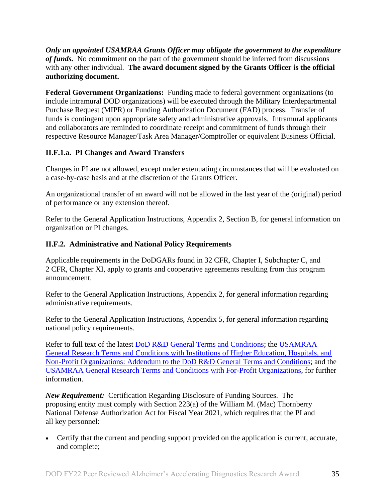*Only an appointed USAMRAA Grants Officer may obligate the government to the expenditure of funds.* No commitment on the part of the government should be inferred from discussions with any other individual. **The award document signed by the Grants Officer is the official authorizing document.**

**Federal Government Organizations:** Funding made to federal government organizations (to include intramural DOD organizations) will be executed through the Military Interdepartmental Purchase Request (MIPR) or Funding Authorization Document (FAD) process. Transfer of funds is contingent upon appropriate safety and administrative approvals. Intramural applicants and collaborators are reminded to coordinate receipt and commitment of funds through their respective Resource Manager/Task Area Manager/Comptroller or equivalent Business Official.

## **II.F.1.a. PI Changes and Award Transfers**

Changes in PI are not allowed, except under extenuating circumstances that will be evaluated on a case-by-case basis and at the discretion of the Grants Officer.

An organizational transfer of an award will not be allowed in the last year of the (original) period of performance or any extension thereof.

Refer to the General Application Instructions, Appendix 2, Section B, for general information on organization or PI changes.

## <span id="page-34-0"></span>**II.F.2. Administrative and National Policy Requirements**

Applicable requirements in the DoDGARs found in 32 CFR, Chapter I, Subchapter C, and 2 CFR, Chapter XI, apply to grants and cooperative agreements resulting from this program announcement.

Refer to the General Application Instructions, Appendix 2, for general information regarding administrative requirements.

Refer to the General Application Instructions, Appendix 5, for general information regarding national policy requirements.

Refer to full text of the latest **DoD R&D General Terms and Conditions**; the USAMRAA [General Research Terms and Conditions with Institutions of Higher Education, Hospitals, and](https://www.usamraa.army.mil/Pages/Resources.aspx)  [Non-Profit Organizations: Addendum to the DoD](https://www.usamraa.army.mil/Pages/Resources.aspx) R&D General Terms and Conditions; and the [USAMRAA General Research Terms and Conditions with For-Profit Organizations,](https://www.usamraa.army.mil/Pages/Resources.aspx) for further information.

*New Requirement:* Certification Regarding Disclosure of Funding Sources. The proposing entity must comply with Section 223(a) of the William M. (Mac) Thornberry National Defense Authorization Act for Fiscal Year 2021, which requires that the PI and all key personnel:

 Certify that the current and pending support provided on the application is current, accurate, and complete;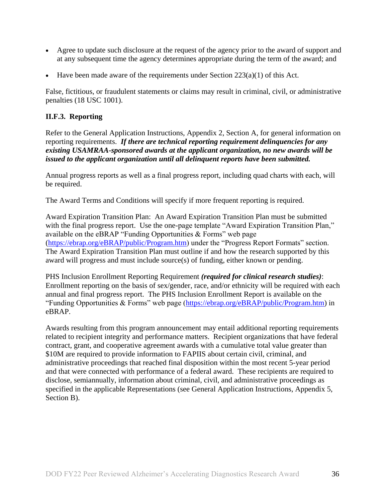- Agree to update such disclosure at the request of the agency prior to the award of support and at any subsequent time the agency determines appropriate during the term of the award; and
- Have been made aware of the requirements under Section  $223(a)(1)$  of this Act.

False, fictitious, or fraudulent statements or claims may result in criminal, civil, or administrative penalties (18 USC 1001).

#### <span id="page-35-0"></span>**II.F.3. Reporting**

Refer to the General Application Instructions, Appendix 2, Section A, for general information on reporting requirements. *If there are technical reporting requirement delinquencies for any existing USAMRAA-sponsored awards at the applicant organization, no new awards will be issued to the applicant organization until all delinquent reports have been submitted.*

Annual progress reports as well as a final progress report, including quad charts with each, will be required.

The Award Terms and Conditions will specify if more frequent reporting is required.

Award Expiration Transition Plan: An Award Expiration Transition Plan must be submitted with the final progress report. Use the one-page template "Award Expiration Transition Plan," available on the eBRAP "Funding Opportunities  $\&$  Forms" web page [\(https://ebrap.org/eBRAP/public/Program.htm\)](https://ebrap.org/eBRAP/public/Program.htm) under the "Progress Report Formats" section. The Award Expiration Transition Plan must outline if and how the research supported by this award will progress and must include source(s) of funding, either known or pending.

PHS Inclusion Enrollment Reporting Requirement *(required for clinical research studies)*: Enrollment reporting on the basis of sex/gender, race, and/or ethnicity will be required with each annual and final progress report. The PHS Inclusion Enrollment Report is available on the "Funding Opportunities & Forms" web page [\(https://ebrap.org/eBRAP/public/Program.htm\)](https://ebrap.org/eBRAP/public/Program.htm) in eBRAP.

Awards resulting from this program announcement may entail additional reporting requirements related to recipient integrity and performance matters. Recipient organizations that have federal contract, grant, and cooperative agreement awards with a cumulative total value greater than \$10M are required to provide information to FAPIIS about certain civil, criminal, and administrative proceedings that reached final disposition within the most recent 5-year period and that were connected with performance of a federal award. These recipients are required to disclose, semiannually, information about criminal, civil, and administrative proceedings as specified in the applicable Representations (see General Application Instructions, Appendix 5, Section B).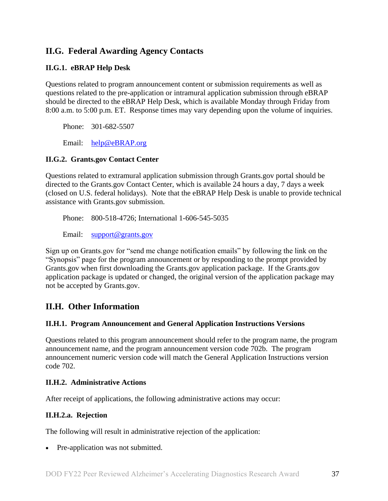## <span id="page-36-0"></span>**II.G. Federal Awarding Agency Contacts**

### <span id="page-36-1"></span>**II.G.1. eBRAP Help Desk**

Questions related to program announcement content or submission requirements as well as questions related to the pre-application or intramural application submission through eBRAP should be directed to the eBRAP Help Desk, which is available Monday through Friday from 8:00 a.m. to 5:00 p.m. ET. Response times may vary depending upon the volume of inquiries.

Phone: 301-682-5507

Email: [help@eBRAP.org](mailto:help@eBRAP.org)

#### <span id="page-36-2"></span>**II.G.2. Grants.gov Contact Center**

Questions related to extramural application submission through Grants.gov portal should be directed to the Grants.gov Contact Center, which is available 24 hours a day, 7 days a week (closed on U.S. federal holidays). Note that the eBRAP Help Desk is unable to provide technical assistance with Grants.gov submission.

Phone: 800-518-4726; International 1-606-545-5035

Email: [support@grants.gov](mailto:support@grants.gov)

Sign up on Grants.gov for "send me change notification emails" by following the link on the "Synopsis" page for the program announcement or by responding to the prompt provided by Grants.gov when first downloading the Grants.gov application package. If the Grants.gov application package is updated or changed, the original version of the application package may not be accepted by Grants.gov.

## <span id="page-36-3"></span>**II.H. Other Information**

#### <span id="page-36-4"></span>**II.H.1. Program Announcement and General Application Instructions Versions**

Questions related to this program announcement should refer to the program name, the program announcement name, and the program announcement version code 702b. The program announcement numeric version code will match the General Application Instructions version code 702.

#### <span id="page-36-5"></span>**II.H.2. Administrative Actions**

After receipt of applications, the following administrative actions may occur:

#### **II.H.2.a. Rejection**

The following will result in administrative rejection of the application:

• Pre-application was not submitted.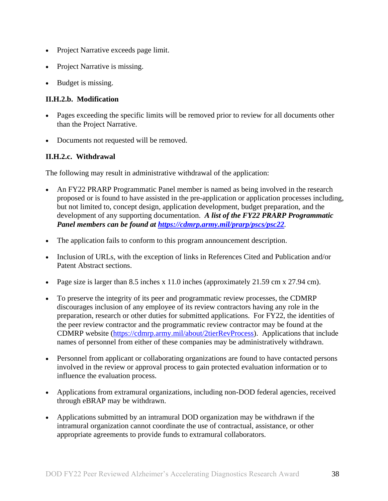- Project Narrative exceeds page limit.
- Project Narrative is missing.
- Budget is missing.

### **II.H.2.b. Modification**

- Pages exceeding the specific limits will be removed prior to review for all documents other than the Project Narrative.
- Documents not requested will be removed.

## <span id="page-37-0"></span>**II.H.2.c. Withdrawal**

The following may result in administrative withdrawal of the application:

- An FY22 PRARP Programmatic Panel member is named as being involved in the research proposed or is found to have assisted in the pre-application or application processes including, but not limited to, concept design, application development, budget preparation, and the development of any supporting documentation. *A list of the FY22 PRARP Programmatic Panel members can be found at<https://cdmrp.army.mil/prarp/pscs/psc22>.*
- The application fails to conform to this program announcement description.
- Inclusion of URLs, with the exception of links in References Cited and Publication and/or Patent Abstract sections.
- Page size is larger than 8.5 inches x 11.0 inches (approximately  $21.59 \text{ cm} \times 27.94 \text{ cm}$ ).
- To preserve the integrity of its peer and programmatic review processes, the CDMRP discourages inclusion of any employee of its review contractors having any role in the preparation, research or other duties for submitted applications. For FY22, the identities of the peer review contractor and the programmatic review contractor may be found at the CDMRP website [\(https://cdmrp.army.mil/about/2tierRevProcess\)](https://cdmrp.army.mil/about/2tierRevProcess). Applications that include names of personnel from either of these companies may be administratively withdrawn.
- Personnel from applicant or collaborating organizations are found to have contacted persons involved in the review or approval process to gain protected evaluation information or to influence the evaluation process.
- Applications from extramural organizations, including non-DOD federal agencies, received through eBRAP may be withdrawn.
- Applications submitted by an intramural DOD organization may be withdrawn if the intramural organization cannot coordinate the use of contractual, assistance, or other appropriate agreements to provide funds to extramural collaborators.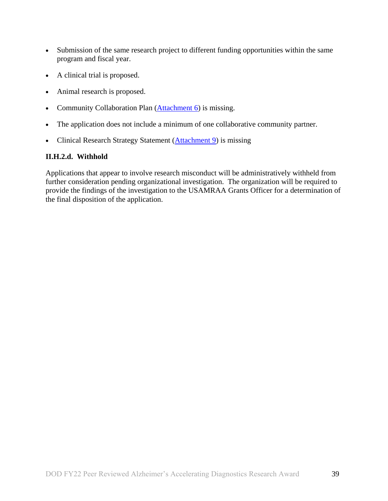- Submission of the same research project to different funding opportunities within the same program and fiscal year.
- A clinical trial is proposed.
- Animal research is proposed.
- Community Collaboration Plan [\(Attachment 6\)](#page-20-0) is missing.
- The application does not include a minimum of one collaborative community partner.
- Clinical Research Strategy Statement [\(Attachment 9\)](#page-22-0) is missing

## **II.H.2.d. Withhold**

Applications that appear to involve research misconduct will be administratively withheld from further consideration pending organizational investigation. The organization will be required to provide the findings of the investigation to the USAMRAA Grants Officer for a determination of the final disposition of the application.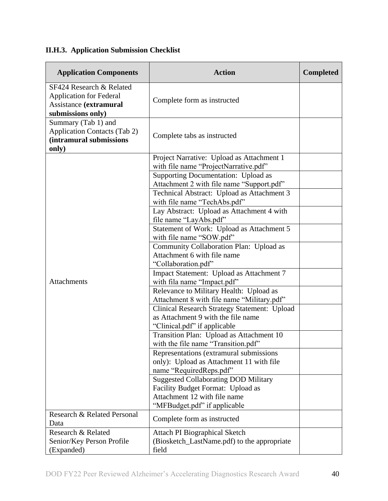# <span id="page-39-0"></span>**II.H.3. Application Submission Checklist**

| <b>Application Components</b>                                                                             | <b>Action</b>                                                                                                                                    | <b>Completed</b> |
|-----------------------------------------------------------------------------------------------------------|--------------------------------------------------------------------------------------------------------------------------------------------------|------------------|
| SF424 Research & Related<br><b>Application for Federal</b><br>Assistance (extramural<br>submissions only) | Complete form as instructed                                                                                                                      |                  |
| Summary (Tab 1) and<br><b>Application Contacts (Tab 2)</b><br>(intramural submissions<br>only)            | Complete tabs as instructed                                                                                                                      |                  |
|                                                                                                           | Project Narrative: Upload as Attachment 1<br>with file name "ProjectNarrative.pdf"                                                               |                  |
|                                                                                                           | Supporting Documentation: Upload as<br>Attachment 2 with file name "Support.pdf"                                                                 |                  |
|                                                                                                           | Technical Abstract: Upload as Attachment 3<br>with file name "TechAbs.pdf"                                                                       |                  |
|                                                                                                           | Lay Abstract: Upload as Attachment 4 with<br>file name "LayAbs.pdf"                                                                              |                  |
|                                                                                                           | Statement of Work: Upload as Attachment 5<br>with file name "SOW.pdf"                                                                            |                  |
|                                                                                                           | Community Collaboration Plan: Upload as<br>Attachment 6 with file name<br>"Collaboration.pdf"                                                    |                  |
| Attachments                                                                                               | Impact Statement: Upload as Attachment 7<br>with fila name "Impact.pdf"                                                                          |                  |
|                                                                                                           | Relevance to Military Health: Upload as<br>Attachment 8 with file name "Military.pdf"                                                            |                  |
|                                                                                                           | Clinical Research Strategy Statement: Upload<br>as Attachment 9 with the file name<br>"Clinical.pdf" if applicable                               |                  |
|                                                                                                           | Transition Plan: Upload as Attachment 10<br>with the file name "Transition.pdf"                                                                  |                  |
|                                                                                                           | Representations (extramural submissions)<br>only): Upload as Attachment 11 with file<br>name "RequiredReps.pdf"                                  |                  |
|                                                                                                           | <b>Suggested Collaborating DOD Military</b><br>Facility Budget Format: Upload as<br>Attachment 12 with file name<br>"MFBudget.pdf" if applicable |                  |
| Research & Related Personal<br>Data                                                                       | Complete form as instructed                                                                                                                      |                  |
| Research & Related<br>Senior/Key Person Profile<br>(Expanded)                                             | <b>Attach PI Biographical Sketch</b><br>(Biosketch_LastName.pdf) to the appropriate<br>field                                                     |                  |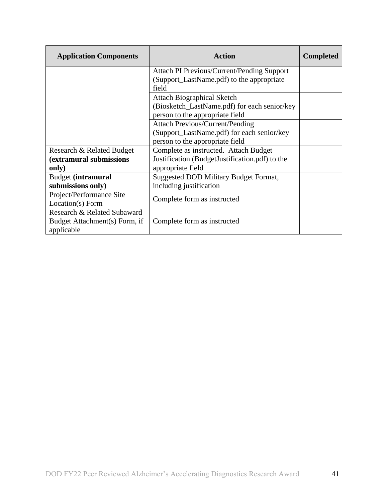| <b>Application Components</b> | <b>Action</b>                                     | <b>Completed</b> |
|-------------------------------|---------------------------------------------------|------------------|
|                               | <b>Attach PI Previous/Current/Pending Support</b> |                  |
|                               | (Support_LastName.pdf) to the appropriate         |                  |
|                               | field                                             |                  |
|                               | <b>Attach Biographical Sketch</b>                 |                  |
|                               | (Biosketch_LastName.pdf) for each senior/key      |                  |
|                               | person to the appropriate field                   |                  |
|                               | <b>Attach Previous/Current/Pending</b>            |                  |
|                               | (Support_LastName.pdf) for each senior/key        |                  |
|                               | person to the appropriate field                   |                  |
| Research & Related Budget     | Complete as instructed. Attach Budget             |                  |
| (extramural submissions       | Justification (BudgetJustification.pdf) to the    |                  |
| only)                         | appropriate field                                 |                  |
| <b>Budget (intramural</b>     | Suggested DOD Military Budget Format,             |                  |
| submissions only)             | including justification                           |                  |
| Project/Performance Site      | Complete form as instructed                       |                  |
| Location(s) Form              |                                                   |                  |
| Research & Related Subaward   |                                                   |                  |
| Budget Attachment(s) Form, if | Complete form as instructed                       |                  |
| applicable                    |                                                   |                  |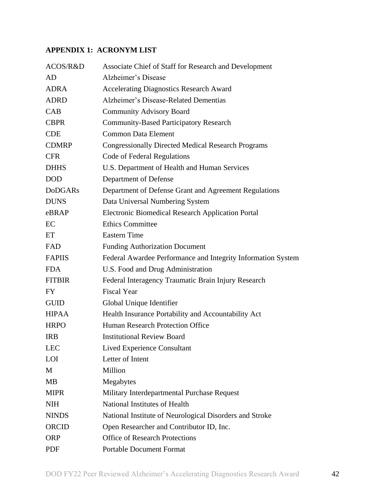## <span id="page-41-0"></span>**APPENDIX 1: ACRONYM LIST**

| ACOS/R&D       | Associate Chief of Staff for Research and Development        |
|----------------|--------------------------------------------------------------|
| AD             | Alzheimer's Disease                                          |
| <b>ADRA</b>    | <b>Accelerating Diagnostics Research Award</b>               |
| <b>ADRD</b>    | Alzheimer's Disease-Related Dementias                        |
| CAB            | <b>Community Advisory Board</b>                              |
| <b>CBPR</b>    | <b>Community-Based Participatory Research</b>                |
| <b>CDE</b>     | <b>Common Data Element</b>                                   |
| <b>CDMRP</b>   | <b>Congressionally Directed Medical Research Programs</b>    |
| <b>CFR</b>     | Code of Federal Regulations                                  |
| <b>DHHS</b>    | U.S. Department of Health and Human Services                 |
| <b>DOD</b>     | Department of Defense                                        |
| <b>DoDGARs</b> | Department of Defense Grant and Agreement Regulations        |
| <b>DUNS</b>    | Data Universal Numbering System                              |
| eBRAP          | Electronic Biomedical Research Application Portal            |
| EC             | <b>Ethics Committee</b>                                      |
| ET             | <b>Eastern Time</b>                                          |
| FAD            | <b>Funding Authorization Document</b>                        |
| <b>FAPIIS</b>  | Federal Awardee Performance and Integrity Information System |
| <b>FDA</b>     | U.S. Food and Drug Administration                            |
| <b>FITBIR</b>  | Federal Interagency Traumatic Brain Injury Research          |
| <b>FY</b>      | <b>Fiscal Year</b>                                           |
| <b>GUID</b>    | Global Unique Identifier                                     |
| <b>HIPAA</b>   | Health Insurance Portability and Accountability Act          |
| <b>HRPO</b>    | Human Research Protection Office                             |
| <b>IRB</b>     | <b>Institutional Review Board</b>                            |
| <b>LEC</b>     | <b>Lived Experience Consultant</b>                           |
| LOI            | Letter of Intent                                             |
| M              | Million                                                      |
| <b>MB</b>      | Megabytes                                                    |
| <b>MIPR</b>    | Military Interdepartmental Purchase Request                  |
| <b>NIH</b>     | National Institutes of Health                                |
| <b>NINDS</b>   | National Institute of Neurological Disorders and Stroke      |
| <b>ORCID</b>   | Open Researcher and Contributor ID, Inc.                     |
| <b>ORP</b>     | <b>Office of Research Protections</b>                        |
| PDF            | <b>Portable Document Format</b>                              |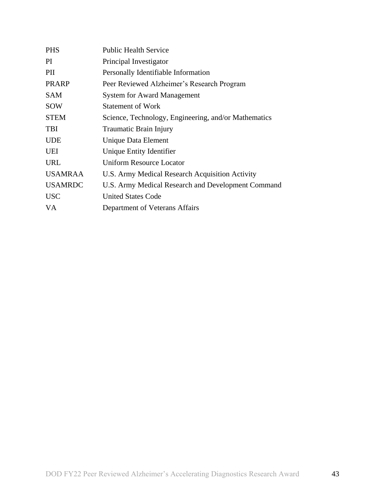| <b>PHS</b>     | <b>Public Health Service</b>                         |
|----------------|------------------------------------------------------|
| PI             | Principal Investigator                               |
| PII            | Personally Identifiable Information                  |
| <b>PRARP</b>   | Peer Reviewed Alzheimer's Research Program           |
| <b>SAM</b>     | <b>System for Award Management</b>                   |
| SOW            | <b>Statement of Work</b>                             |
| <b>STEM</b>    | Science, Technology, Engineering, and/or Mathematics |
| <b>TBI</b>     | Traumatic Brain Injury                               |
| <b>UDE</b>     | Unique Data Element                                  |
| UEI            | Unique Entity Identifier                             |
| URL            | Uniform Resource Locator                             |
| <b>USAMRAA</b> | U.S. Army Medical Research Acquisition Activity      |
| <b>USAMRDC</b> | U.S. Army Medical Research and Development Command   |
| <b>USC</b>     | <b>United States Code</b>                            |
| VA             | Department of Veterans Affairs                       |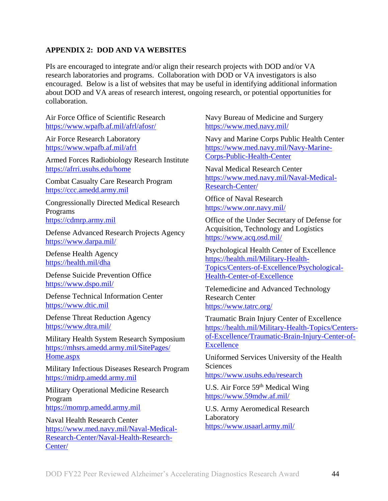### <span id="page-43-0"></span>**APPENDIX 2: DOD AND VA WEBSITES**

PIs are encouraged to integrate and/or align their research projects with DOD and/or VA research laboratories and programs. Collaboration with DOD or VA investigators is also encouraged. Below is a list of websites that may be useful in identifying additional information about DOD and VA areas of research interest, ongoing research, or potential opportunities for collaboration.

Air Force Office of Scientific Research <https://www.wpafb.af.mil/afrl/afosr/>

Air Force Research Laboratory <https://www.wpafb.af.mil/afrl>

Armed Forces Radiobiology Research Institute <https://afrri.usuhs.edu/home>

Combat Casualty Care Research Program [https://ccc.amedd.army.mil](https://ccc.amedd.army.mil/)

Congressionally Directed Medical Research Programs [https://cdmrp.army.mil](https://cdmrp.army.mil/)

Defense Advanced Research Projects Agency <https://www.darpa.mil/>

Defense Health Agency <https://health.mil/dha>

Defense Suicide Prevention Office <https://www.dspo.mil/>

Defense Technical Information Center [https://www.dtic.mil](https://www.dtic.mil/)

Defense Threat Reduction Agency <https://www.dtra.mil/>

Military Health System Research Symposium [https://mhsrs.amedd.army.mil/SitePages/](https://mhsrs.amedd.army.mil/SitePages/Home.aspx) [Home.aspx](https://mhsrs.amedd.army.mil/SitePages/Home.aspx)

Military Infectious Diseases Research Program [https://midrp.amedd.army.mil](https://midrp.amedd.army.mil/)

Military Operational Medicine Research Program [https://momrp.amedd.army.mil](https://momrp.amedd.army.mil/)

Naval Health Research Center [https://www.med.navy.mil/Naval-Medical-](https://www.med.navy.mil/Naval-Medical-Research-Center/Naval-Health-Research-Center/)[Research-Center/Naval-Health-Research-](https://www.med.navy.mil/Naval-Medical-Research-Center/Naval-Health-Research-Center/)[Center/](https://www.med.navy.mil/Naval-Medical-Research-Center/Naval-Health-Research-Center/)

Navy Bureau of Medicine and Surgery <https://www.med.navy.mil/>

Navy and Marine Corps Public Health Center [https://www.med.navy.mil/Navy-Marine-](https://www.med.navy.mil/Navy-Marine-Corps-Public-Health-Center)[Corps-Public-Health-Center](https://www.med.navy.mil/Navy-Marine-Corps-Public-Health-Center)

Naval Medical Research Center [https://www.med.navy.mil/Naval-Medical-](https://www.med.navy.mil/Naval-Medical-Research-Center/)[Research-Center/](https://www.med.navy.mil/Naval-Medical-Research-Center/)

Office of Naval Research <https://www.onr.navy.mil/>

Office of the Under Secretary of Defense for Acquisition, Technology and Logistics <https://www.acq.osd.mil/>

Psychological Health Center of Excellence [https://health.mil/Military-Health-](https://health.mil/Military-Health-Topics/Centers-of-Excellence/Psychological-Health-Center-of-Excellence)[Topics/Centers-of-Excellence/Psychological-](https://health.mil/Military-Health-Topics/Centers-of-Excellence/Psychological-Health-Center-of-Excellence)[Health-Center-of-Excellence](https://health.mil/Military-Health-Topics/Centers-of-Excellence/Psychological-Health-Center-of-Excellence)

Telemedicine and Advanced Technology Research Center <https://www.tatrc.org/>

Traumatic Brain Injury Center of Excellence [https://health.mil/Military-Health-Topics/Centers](https://health.mil/Military-Health-Topics/Centers-of-Excellence/Traumatic-Brain-Injury-Center-of-Excellence)[of-Excellence/Traumatic-Brain-Injury-Center-of-](https://health.mil/Military-Health-Topics/Centers-of-Excellence/Traumatic-Brain-Injury-Center-of-Excellence)**[Excellence](https://health.mil/Military-Health-Topics/Centers-of-Excellence/Traumatic-Brain-Injury-Center-of-Excellence)** 

Uniformed Services University of the Health Sciences

<https://www.usuhs.edu/research>

U.S. Air Force 59<sup>th</sup> Medical Wing <https://www.59mdw.af.mil/>

U.S. Army Aeromedical Research **Laboratory** <https://www.usaarl.army.mil/>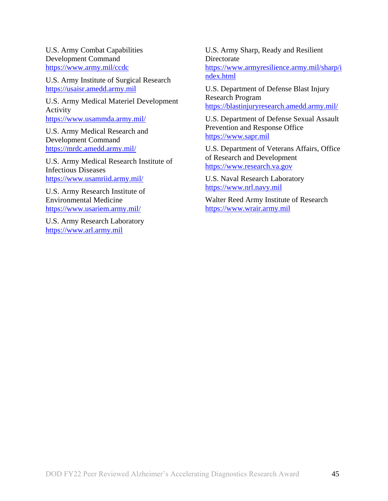U.S. Army Combat Capabilities Development Command <https://www.army.mil/ccdc>

U.S. Army Institute of Surgical Research [https://usaisr.amedd.army.mil](https://usaisr.amedd.army.mil/)

U.S. Army Medical Materiel Development Activity <https://www.usammda.army.mil/>

U.S. Army Medical Research and Development Command <https://mrdc.amedd.army.mil/>

U.S. Army Medical Research Institute of Infectious Diseases <https://www.usamriid.army.mil/>

U.S. Army Research Institute of Environmental Medicine <https://www.usariem.army.mil/>

U.S. Army Research Laboratory [https://www.arl.army.mil](https://www.arl.army.mil/)

U.S. Army Sharp, Ready and Resilient **Directorate** [https://www.armyresilience.army.mil/sharp/i](https://www.armyresilience.army.mil/sharp/index.html) [ndex.html](https://www.armyresilience.army.mil/sharp/index.html)

U.S. Department of Defense Blast Injury Research Program <https://blastinjuryresearch.amedd.army.mil/>

U.S. Department of Defense Sexual Assault Prevention and Response Office [https://www.sapr.mil](https://www.sapr.mil/)

U.S. Department of Veterans Affairs, Office of Research and Development [https://www.research.va.gov](https://www.research.va.gov/)

U.S. Naval Research Laboratory [https://www.nrl.navy.mil](https://www.nrl.navy.mil/)

Walter Reed Army Institute of Research [https://www.wrair.army.mil](https://www.wrair.army.mil/)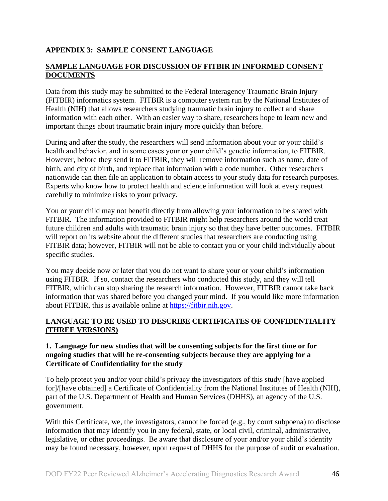## <span id="page-45-0"></span>**APPENDIX 3: SAMPLE CONSENT LANGUAGE**

#### **SAMPLE LANGUAGE FOR DISCUSSION OF FITBIR IN INFORMED CONSENT DOCUMENTS**

Data from this study may be submitted to the Federal Interagency Traumatic Brain Injury (FITBIR) informatics system. FITBIR is a computer system run by the National Institutes of Health (NIH) that allows researchers studying traumatic brain injury to collect and share information with each other. With an easier way to share, researchers hope to learn new and important things about traumatic brain injury more quickly than before.

During and after the study, the researchers will send information about your or your child's health and behavior, and in some cases your or your child's genetic information, to FITBIR. However, before they send it to FITBIR, they will remove information such as name, date of birth, and city of birth, and replace that information with a code number. Other researchers nationwide can then file an application to obtain access to your study data for research purposes. Experts who know how to protect health and science information will look at every request carefully to minimize risks to your privacy.

You or your child may not benefit directly from allowing your information to be shared with FITBIR. The information provided to FITBIR might help researchers around the world treat future children and adults with traumatic brain injury so that they have better outcomes. FITBIR will report on its website about the different studies that researchers are conducting using FITBIR data; however, FITBIR will not be able to contact you or your child individually about specific studies.

You may decide now or later that you do not want to share your or your child's information using FITBIR. If so, contact the researchers who conducted this study, and they will tell FITBIR, which can stop sharing the research information. However, FITBIR cannot take back information that was shared before you changed your mind. If you would like more information about FITBIR, this is available online at [https://fitbir.nih.gov.](https://fitbir.nih.gov/)

#### **LANGUAGE TO BE USED TO DESCRIBE CERTIFICATES OF CONFIDENTIALITY (THREE VERSIONS)**

#### **1. Language for new studies that will be consenting subjects for the first time or for ongoing studies that will be re-consenting subjects because they are applying for a Certificate of Confidentiality for the study**

To help protect you and/or your child's privacy the investigators of this study [have applied for]/[have obtained] a Certificate of Confidentiality from the National Institutes of Health (NIH), part of the U.S. Department of Health and Human Services (DHHS), an agency of the U.S. government.

With this Certificate, we, the investigators, cannot be forced (e.g., by court subpoena) to disclose information that may identify you in any federal, state, or local civil, criminal, administrative, legislative, or other proceedings. Be aware that disclosure of your and/or your child's identity may be found necessary, however, upon request of DHHS for the purpose of audit or evaluation.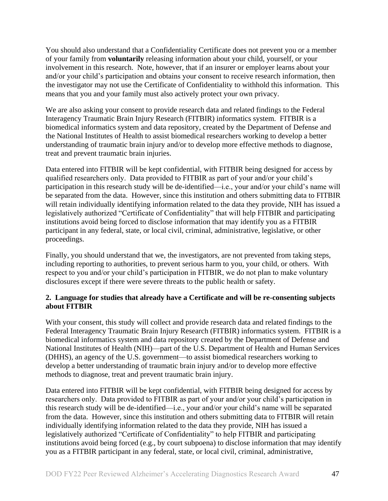You should also understand that a Confidentiality Certificate does not prevent you or a member of your family from **voluntarily** releasing information about your child, yourself, or your involvement in this research. Note, however, that if an insurer or employer learns about your and/or your child's participation and obtains your consent to receive research information, then the investigator may not use the Certificate of Confidentiality to withhold this information. This means that you and your family must also actively protect your own privacy.

We are also asking your consent to provide research data and related findings to the Federal Interagency Traumatic Brain Injury Research (FITBIR) informatics system. FITBIR is a biomedical informatics system and data repository, created by the Department of Defense and the National Institutes of Health to assist biomedical researchers working to develop a better understanding of traumatic brain injury and/or to develop more effective methods to diagnose, treat and prevent traumatic brain injuries.

Data entered into FITBIR will be kept confidential, with FITBIR being designed for access by qualified researchers only. Data provided to FITBIR as part of your and/or your child's participation in this research study will be de-identified—i.e., your and/or your child's name will be separated from the data. However, since this institution and others submitting data to FITBIR will retain individually identifying information related to the data they provide, NIH has issued a legislatively authorized "Certificate of Confidentiality" that will help FITBIR and participating institutions avoid being forced to disclose information that may identify you as a FITBIR participant in any federal, state, or local civil, criminal, administrative, legislative, or other proceedings.

Finally, you should understand that we, the investigators, are not prevented from taking steps, including reporting to authorities, to prevent serious harm to you, your child, or others. With respect to you and/or your child's participation in FITBIR, we do not plan to make voluntary disclosures except if there were severe threats to the public health or safety.

#### **2. Language for studies that already have a Certificate and will be re-consenting subjects about FITBIR**

With your consent, this study will collect and provide research data and related findings to the Federal Interagency Traumatic Brain Injury Research (FITBIR) informatics system. FITBIR is a biomedical informatics system and data repository created by the Department of Defense and National Institutes of Health (NIH)—part of the U.S. Department of Health and Human Services (DHHS), an agency of the U.S. government—to assist biomedical researchers working to develop a better understanding of traumatic brain injury and/or to develop more effective methods to diagnose, treat and prevent traumatic brain injury.

Data entered into FITBIR will be kept confidential, with FITBIR being designed for access by researchers only. Data provided to FITBIR as part of your and/or your child's participation in this research study will be de-identified—i.e., your and/or your child's name will be separated from the data. However, since this institution and others submitting data to FITBIR will retain individually identifying information related to the data they provide, NIH has issued a legislatively authorized "Certificate of Confidentiality" to help FITBIR and participating institutions avoid being forced (e.g., by court subpoena) to disclose information that may identify you as a FITBIR participant in any federal, state, or local civil, criminal, administrative,